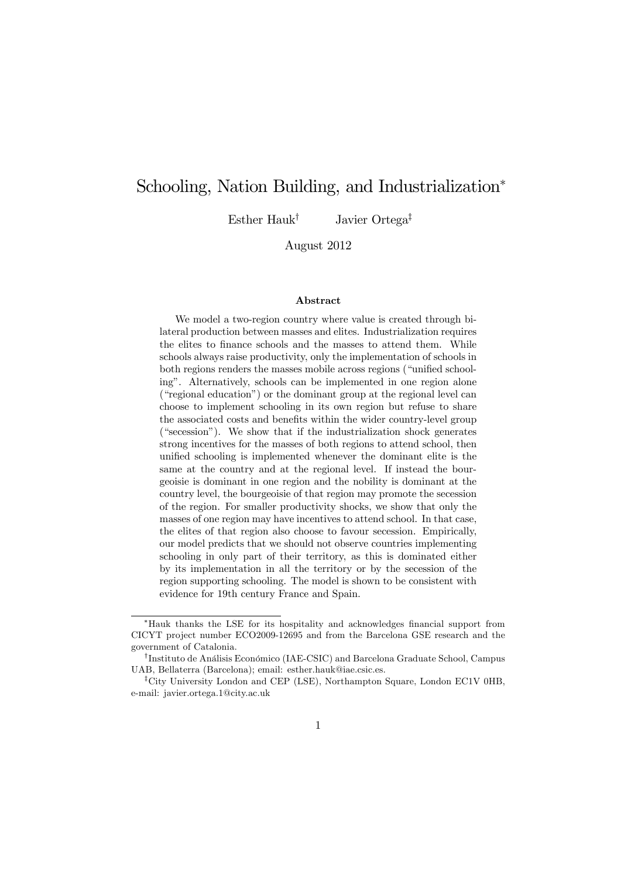# Schooling, Nation Building, and Industrialization<sup>∗</sup>

Esther Hauk† Javier Ortega‡

August 2012

#### Abstract

We model a two-region country where value is created through bilateral production between masses and elites. Industrialization requires the elites to finance schools and the masses to attend them. While schools always raise productivity, only the implementation of schools in both regions renders the masses mobile across regions ("unified schooling". Alternatively, schools can be implemented in one region alone ("regional education") or the dominant group at the regional level can choose to implement schooling in its own region but refuse to share the associated costs and benefits within the wider country-level group ("secession"). We show that if the industrialization shock generates strong incentives for the masses of both regions to attend school, then unified schooling is implemented whenever the dominant elite is the same at the country and at the regional level. If instead the bourgeoisie is dominant in one region and the nobility is dominant at the country level, the bourgeoisie of that region may promote the secession of the region. For smaller productivity shocks, we show that only the masses of one region may have incentives to attend school. In that case, the elites of that region also choose to favour secession. Empirically, our model predicts that we should not observe countries implementing schooling in only part of their territory, as this is dominated either by its implementation in all the territory or by the secession of the region supporting schooling. The model is shown to be consistent with evidence for 19th century France and Spain.

<sup>∗</sup>Hauk thanks the LSE for its hospitality and acknowledges financial support from CICYT project number ECO2009-12695 and from the Barcelona GSE research and the government of Catalonia.

<sup>†</sup>Instituto de Análisis Económico (IAE-CSIC) and Barcelona Graduate School, Campus UAB, Bellaterra (Barcelona); email: esther.hauk@iae.csic.es.

<sup>‡</sup>City University London and CEP (LSE), Northampton Square, London EC1V 0HB, e-mail: javier.ortega.1@city.ac.uk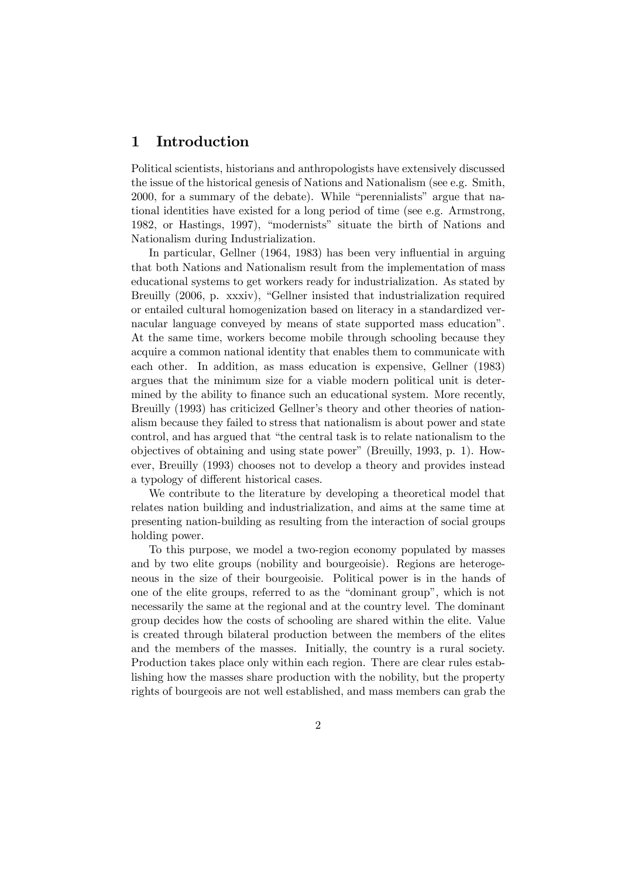# 1 Introduction

Political scientists, historians and anthropologists have extensively discussed the issue of the historical genesis of Nations and Nationalism (see e.g. Smith, 2000, for a summary of the debate). While "perennialists" argue that national identities have existed for a long period of time (see e.g. Armstrong, 1982, or Hastings, 1997), "modernists" situate the birth of Nations and Nationalism during Industrialization.

In particular, Gellner (1964, 1983) has been very influential in arguing that both Nations and Nationalism result from the implementation of mass educational systems to get workers ready for industrialization. As stated by Breuilly (2006, p. xxxiv), "Gellner insisted that industrialization required or entailed cultural homogenization based on literacy in a standardized vernacular language conveyed by means of state supported mass education". At the same time, workers become mobile through schooling because they acquire a common national identity that enables them to communicate with each other. In addition, as mass education is expensive, Gellner (1983) argues that the minimum size for a viable modern political unit is determined by the ability to finance such an educational system. More recently, Breuilly (1993) has criticized Gellner's theory and other theories of nationalism because they failed to stress that nationalism is about power and state control, and has argued that "the central task is to relate nationalism to the objectives of obtaining and using state power" (Breuilly, 1993, p. 1). However, Breuilly (1993) chooses not to develop a theory and provides instead a typology of different historical cases.

We contribute to the literature by developing a theoretical model that relates nation building and industrialization, and aims at the same time at presenting nation-building as resulting from the interaction of social groups holding power.

To this purpose, we model a two-region economy populated by masses and by two elite groups (nobility and bourgeoisie). Regions are heterogeneous in the size of their bourgeoisie. Political power is in the hands of one of the elite groups, referred to as the "dominant group", which is not necessarily the same at the regional and at the country level. The dominant group decides how the costs of schooling are shared within the elite. Value is created through bilateral production between the members of the elites and the members of the masses. Initially, the country is a rural society. Production takes place only within each region. There are clear rules establishing how the masses share production with the nobility, but the property rights of bourgeois are not well established, and mass members can grab the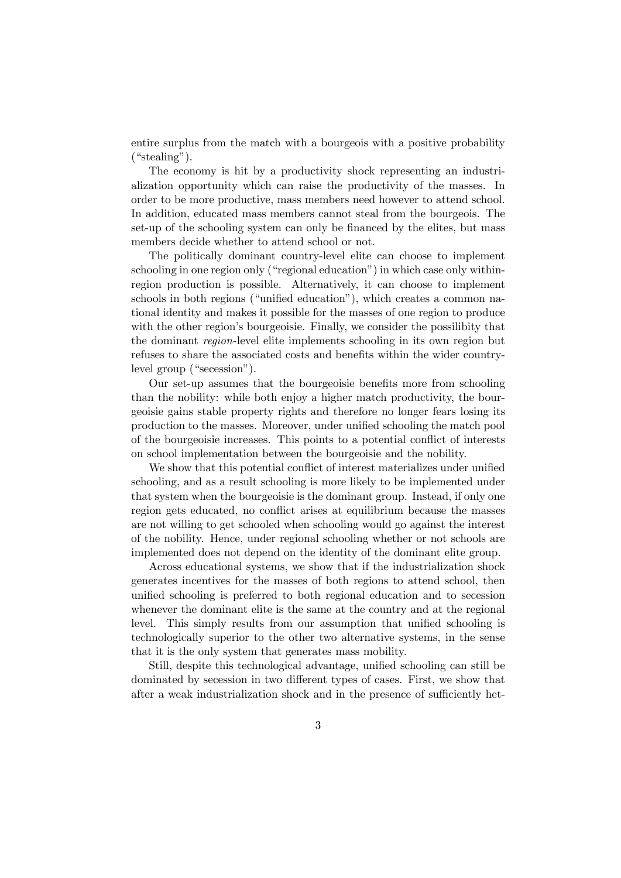entire surplus from the match with a bourgeois with a positive probability ("stealing").

The economy is hit by a productivity shock representing an industrialization opportunity which can raise the productivity of the masses. In order to be more productive, mass members need however to attend school. In addition, educated mass members cannot steal from the bourgeois. The set-up of the schooling system can only be financed by the elites, but mass members decide whether to attend school or not.

The politically dominant country-level elite can choose to implement schooling in one region only ("regional education") in which case only withinregion production is possible. Alternatively, it can choose to implement schools in both regions ("unified education"), which creates a common national identity and makes it possible for the masses of one region to produce with the other region's bourgeoisie. Finally, we consider the possilibity that the dominant region-level elite implements schooling in its own region but refuses to share the associated costs and benefits within the wider countrylevel group ("secession").

Our set-up assumes that the bourgeoisie benefits more from schooling than the nobility: while both enjoy a higher match productivity, the bourgeoisie gains stable property rights and therefore no longer fears losing its production to the masses. Moreover, under unified schooling the match pool of the bourgeoisie increases. This points to a potential conflict of interests on school implementation between the bourgeoisie and the nobility.

We show that this potential conflict of interest materializes under unified schooling, and as a result schooling is more likely to be implemented under that system when the bourgeoisie is the dominant group. Instead, if only one region gets educated, no conflict arises at equilibrium because the masses are not willing to get schooled when schooling would go against the interest of the nobility. Hence, under regional schooling whether or not schools are implemented does not depend on the identity of the dominant elite group.

Across educational systems, we show that if the industrialization shock generates incentives for the masses of both regions to attend school, then unified schooling is preferred to both regional education and to secession whenever the dominant elite is the same at the country and at the regional level. This simply results from our assumption that unified schooling is technologically superior to the other two alternative systems, in the sense that it is the only system that generates mass mobility.

Still, despite this technological advantage, unified schooling can still be dominated by secession in two different types of cases. First, we show that after a weak industrialization shock and in the presence of sufficiently het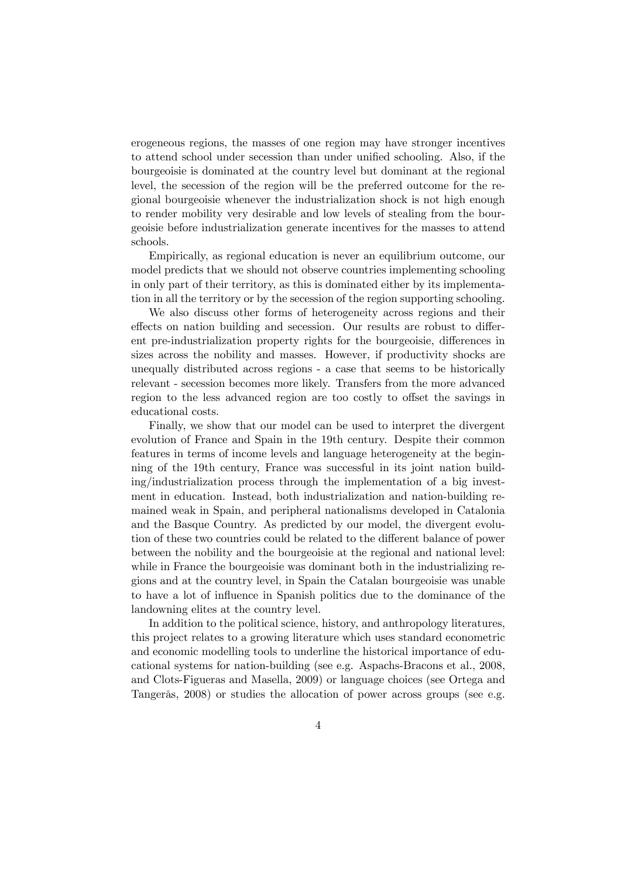erogeneous regions, the masses of one region may have stronger incentives to attend school under secession than under unified schooling. Also, if the bourgeoisie is dominated at the country level but dominant at the regional level, the secession of the region will be the preferred outcome for the regional bourgeoisie whenever the industrialization shock is not high enough to render mobility very desirable and low levels of stealing from the bourgeoisie before industrialization generate incentives for the masses to attend schools.

Empirically, as regional education is never an equilibrium outcome, our model predicts that we should not observe countries implementing schooling in only part of their territory, as this is dominated either by its implementation in all the territory or by the secession of the region supporting schooling.

We also discuss other forms of heterogeneity across regions and their effects on nation building and secession. Our results are robust to different pre-industrialization property rights for the bourgeoisie, differences in sizes across the nobility and masses. However, if productivity shocks are unequally distributed across regions - a case that seems to be historically relevant - secession becomes more likely. Transfers from the more advanced region to the less advanced region are too costly to offset the savings in educational costs.

Finally, we show that our model can be used to interpret the divergent evolution of France and Spain in the 19th century. Despite their common features in terms of income levels and language heterogeneity at the beginning of the 19th century, France was successful in its joint nation building/industrialization process through the implementation of a big investment in education. Instead, both industrialization and nation-building remained weak in Spain, and peripheral nationalisms developed in Catalonia and the Basque Country. As predicted by our model, the divergent evolution of these two countries could be related to the different balance of power between the nobility and the bourgeoisie at the regional and national level: while in France the bourgeoisie was dominant both in the industrializing regions and at the country level, in Spain the Catalan bourgeoisie was unable to have a lot of influence in Spanish politics due to the dominance of the landowning elites at the country level.

In addition to the political science, history, and anthropology literatures, this project relates to a growing literature which uses standard econometric and economic modelling tools to underline the historical importance of educational systems for nation-building (see e.g. Aspachs-Bracons et al., 2008, and Clots-Figueras and Masella, 2009) or language choices (see Ortega and Tangerås, 2008) or studies the allocation of power across groups (see e.g.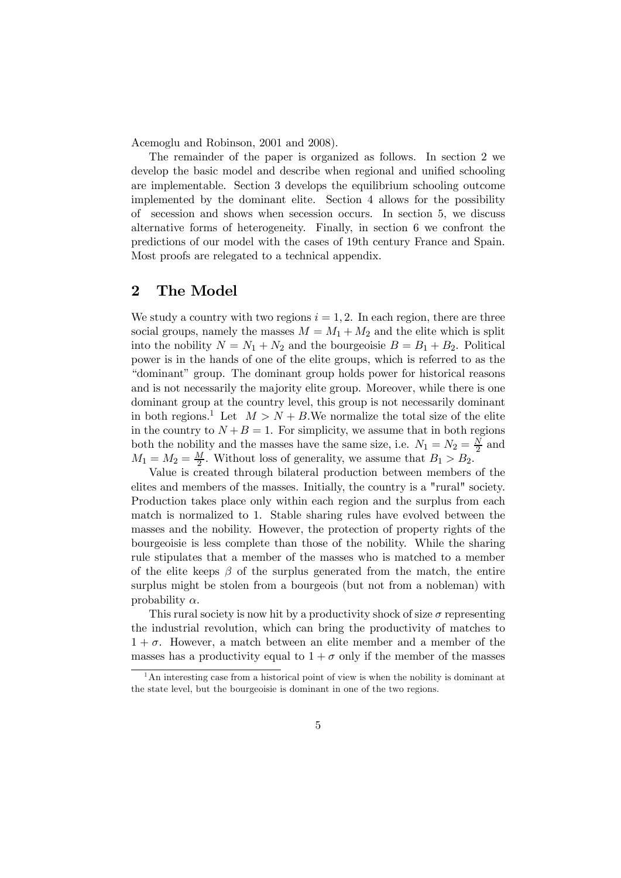Acemoglu and Robinson, 2001 and 2008).

The remainder of the paper is organized as follows. In section 2 we develop the basic model and describe when regional and unified schooling are implementable. Section 3 develops the equilibrium schooling outcome implemented by the dominant elite. Section 4 allows for the possibility of secession and shows when secession occurs. In section 5, we discuss alternative forms of heterogeneity. Finally, in section 6 we confront the predictions of our model with the cases of 19th century France and Spain. Most proofs are relegated to a technical appendix.

## 2 The Model

We study a country with two regions  $i = 1, 2$ . In each region, there are three social groups, namely the masses  $M = M_1 + M_2$  and the elite which is split into the nobility  $N = N_1 + N_2$  and the bourgeoisie  $B = B_1 + B_2$ . Political power is in the hands of one of the elite groups, which is referred to as the "dominant" group. The dominant group holds power for historical reasons and is not necessarily the majority elite group. Moreover, while there is one dominant group at the country level, this group is not necessarily dominant in both regions.<sup>1</sup> Let  $M > N + B$ . We normalize the total size of the elite in the country to  $N + B = 1$ . For simplicity, we assume that in both regions both the nobility and the masses have the same size, i.e.  $N_1 = N_2 = \frac{N}{2}$  and  $M_1 = M_2 = \frac{M}{2}$ . Without loss of generality, we assume that  $B_1 > B_2$ .

Value is created through bilateral production between members of the elites and members of the masses. Initially, the country is a "rural" society. Production takes place only within each region and the surplus from each match is normalized to 1. Stable sharing rules have evolved between the masses and the nobility. However, the protection of property rights of the bourgeoisie is less complete than those of the nobility. While the sharing rule stipulates that a member of the masses who is matched to a member of the elite keeps  $\beta$  of the surplus generated from the match, the entire surplus might be stolen from a bourgeois (but not from a nobleman) with probability  $\alpha$ .

This rural society is now hit by a productivity shock of size  $\sigma$  representing the industrial revolution, which can bring the productivity of matches to  $1 + \sigma$ . However, a match between an elite member and a member of the masses has a productivity equal to  $1 + \sigma$  only if the member of the masses

 $<sup>1</sup>$ An interesting case from a historical point of view is when the nobility is dominant at</sup> the state level, but the bourgeoisie is dominant in one of the two regions.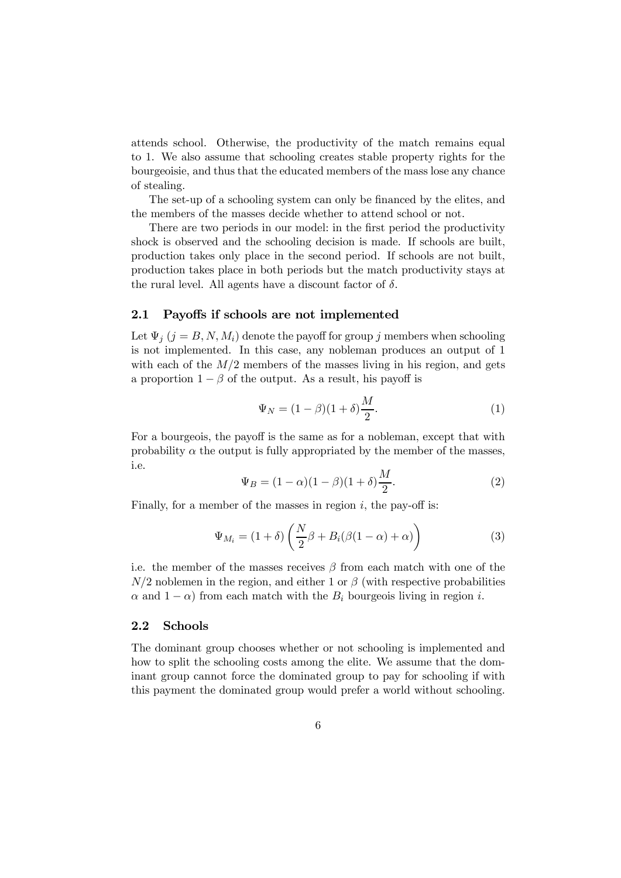attends school. Otherwise, the productivity of the match remains equal to 1. We also assume that schooling creates stable property rights for the bourgeoisie, and thus that the educated members of the mass lose any chance of stealing.

The set-up of a schooling system can only be financed by the elites, and the members of the masses decide whether to attend school or not.

There are two periods in our model: in the first period the productivity shock is observed and the schooling decision is made. If schools are built, production takes only place in the second period. If schools are not built, production takes place in both periods but the match productivity stays at the rural level. All agents have a discount factor of  $\delta$ .

#### 2.1 Payoffs if schools are not implemented

Let  $\Psi_j$   $(j = B, N, M_i)$  denote the payoff for group j members when schooling is not implemented. In this case, any nobleman produces an output of 1 with each of the  $M/2$  members of the masses living in his region, and gets a proportion  $1 - \beta$  of the output. As a result, his payoff is

$$
\Psi_N = (1 - \beta)(1 + \delta)\frac{M}{2}.\tag{1}
$$

For a bourgeois, the payoff is the same as for a nobleman, except that with probability  $\alpha$  the output is fully appropriated by the member of the masses, i.e.

$$
\Psi_B = (1 - \alpha)(1 - \beta)(1 + \delta)\frac{M}{2}.
$$
\n(2)

Finally, for a member of the masses in region  $i$ , the pay-off is:

$$
\Psi_{M_i} = (1+\delta) \left( \frac{N}{2} \beta + B_i (\beta (1-\alpha) + \alpha) \right)
$$
 (3)

i.e. the member of the masses receives  $\beta$  from each match with one of the  $N/2$  noblemen in the region, and either 1 or  $\beta$  (with respective probabilities  $\alpha$  and  $1 - \alpha$ ) from each match with the  $B_i$  bourgeois living in region i.

#### 2.2 Schools

The dominant group chooses whether or not schooling is implemented and how to split the schooling costs among the elite. We assume that the dominant group cannot force the dominated group to pay for schooling if with this payment the dominated group would prefer a world without schooling.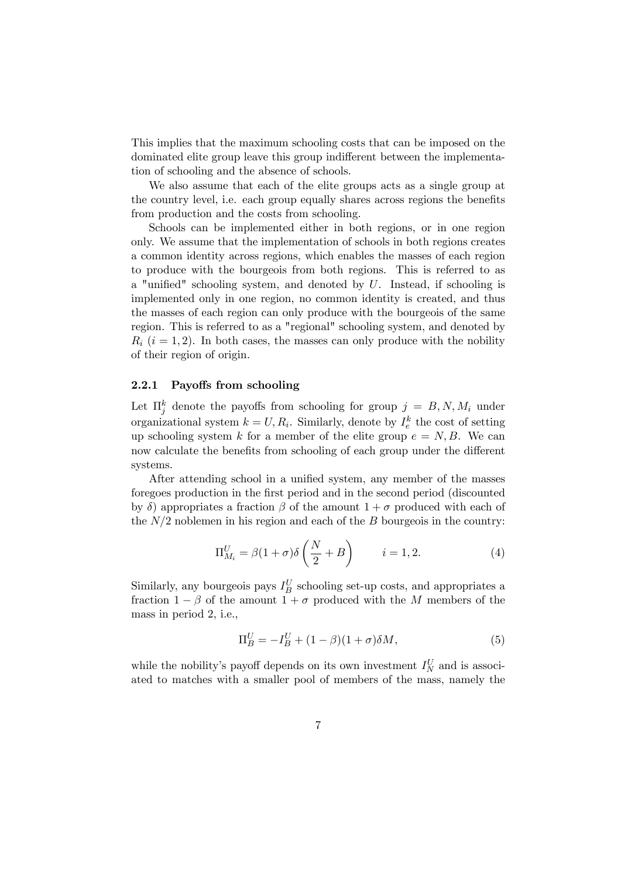This implies that the maximum schooling costs that can be imposed on the dominated elite group leave this group indifferent between the implementation of schooling and the absence of schools.

We also assume that each of the elite groups acts as a single group at the country level, i.e. each group equally shares across regions the benefits from production and the costs from schooling.

Schools can be implemented either in both regions, or in one region only. We assume that the implementation of schools in both regions creates a common identity across regions, which enables the masses of each region to produce with the bourgeois from both regions. This is referred to as a "unified" schooling system, and denoted by  $U$ . Instead, if schooling is implemented only in one region, no common identity is created, and thus the masses of each region can only produce with the bourgeois of the same region. This is referred to as a "regional" schooling system, and denoted by  $R_i$  ( $i = 1, 2$ ). In both cases, the masses can only produce with the nobility of their region of origin.

#### 2.2.1 Payoffs from schooling

Let  $\Pi_j^k$  denote the payoffs from schooling for group  $j = B, N, M_i$  under organizational system  $k = U, R_i$ . Similarly, denote by  $I_e^k$  the cost of setting up schooling system k for a member of the elite group  $e = N, B$ . We can now calculate the benefits from schooling of each group under the different systems.

After attending school in a unified system, any member of the masses foregoes production in the first period and in the second period (discounted by  $\delta$ ) appropriates a fraction  $\beta$  of the amount  $1 + \sigma$  produced with each of the  $N/2$  noblemen in his region and each of the  $B$  bourgeois in the country:

$$
\Pi_{M_i}^U = \beta (1 + \sigma) \delta \left( \frac{N}{2} + B \right) \qquad i = 1, 2. \tag{4}
$$

Similarly, any bourgeois pays  $I_B^U$  schooling set-up costs, and appropriates a fraction  $1 - \beta$  of the amount  $1 + \sigma$  produced with the M members of the mass in period 2, i.e.,

$$
\Pi_B^U = -I_B^U + (1 - \beta)(1 + \sigma)\delta M,\tag{5}
$$

while the nobility's payoff depends on its own investment  $I_N^U$  and is associated to matches with a smaller pool of members of the mass, namely the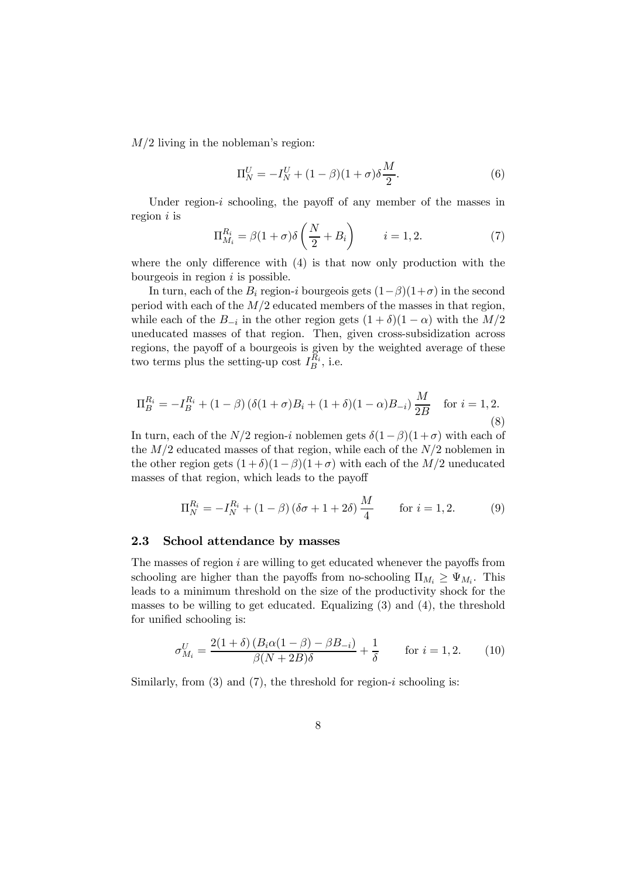$M/2$  living in the nobleman's region:

$$
\Pi_N^U = -I_N^U + (1 - \beta)(1 + \sigma)\delta \frac{M}{2}.
$$
\n(6)

Under region- $i$  schooling, the payoff of any member of the masses in region  $i$  is

$$
\Pi_{M_i}^{R_i} = \beta (1 + \sigma) \delta \left( \frac{N}{2} + B_i \right) \qquad i = 1, 2. \tag{7}
$$

where the only difference with (4) is that now only production with the bourgeois in region  $i$  is possible.

In turn, each of the  $B_i$  region-*i* bourgeois gets  $(1-\beta)(1+\sigma)$  in the second period with each of the  $M/2$  educated members of the masses in that region, while each of the  $B_{-i}$  in the other region gets  $(1 + \delta)(1 - \alpha)$  with the  $M/2$ uneducated masses of that region. Then, given cross-subsidization across regions, the payoff of a bourgeois is given by the weighted average of these two terms plus the setting-up cost  $I_B^{R_i}$ , i.e.

$$
\Pi_B^{R_i} = -I_B^{R_i} + (1 - \beta) \left( \delta (1 + \sigma) B_i + (1 + \delta)(1 - \alpha) B_{-i} \right) \frac{M}{2B} \quad \text{for } i = 1, 2.
$$
\n(8)

In turn, each of the  $N/2$  region-*i* noblemen gets  $\delta(1-\beta)(1+\sigma)$  with each of the  $M/2$  educated masses of that region, while each of the  $N/2$  noblemen in the other region gets  $(1+\delta)(1-\beta)(1+\sigma)$  with each of the  $M/2$  uneducated masses of that region, which leads to the payoff

$$
\Pi_N^{R_i} = -I_N^{R_i} + (1 - \beta)(\delta \sigma + 1 + 2\delta) \frac{M}{4} \quad \text{for } i = 1, 2. \tag{9}
$$

#### 2.3 School attendance by masses

The masses of region  $i$  are willing to get educated whenever the payoffs from schooling are higher than the payoffs from no-schooling  $\Pi_{M_i} \geq \Psi_{M_i}$ . This leads to a minimum threshold on the size of the productivity shock for the masses to be willing to get educated. Equalizing (3) and (4), the threshold for unified schooling is:

$$
\sigma_{M_i}^U = \frac{2(1+\delta)(B_i \alpha (1-\beta) - \beta B_{-i})}{\beta (N+2B)\delta} + \frac{1}{\delta} \qquad \text{for } i = 1, 2. \tag{10}
$$

Similarly, from  $(3)$  and  $(7)$ , the threshold for region-*i* schooling is: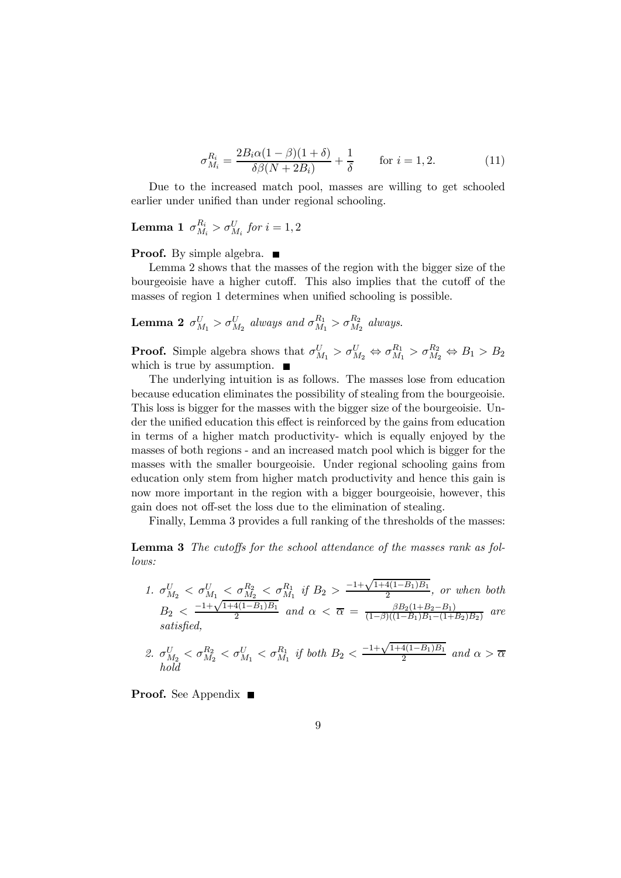$$
\sigma_{M_i}^{R_i} = \frac{2B_i\alpha(1-\beta)(1+\delta)}{\delta\beta(N+2B_i)} + \frac{1}{\delta} \qquad \text{for } i = 1, 2.
$$
 (11)

Due to the increased match pool, masses are willing to get schooled earlier under unified than under regional schooling.

 $\textbf{Lemma 1}\ \ \sigma_{M_i}^{R_i} > \sigma_{M_i}^{U} \ for \ i=1,2$ 

#### **Proof.** By simple algebra.  $\blacksquare$

Lemma 2 shows that the masses of the region with the bigger size of the bourgeoisie have a higher cutoff. This also implies that the cutoff of the masses of region 1 determines when unified schooling is possible.

**Lemma 2**  $\sigma_{M_1}^U > \sigma_{M_2}^U$  always and  $\sigma_{M_1}^{R_1} > \sigma_{M_2}^{R_2}$  always.

**Proof.** Simple algebra shows that  $\sigma_{M_1}^U > \sigma_{M_2}^U \Leftrightarrow \sigma_{M_1}^{R_1} > \sigma_{M_2}^{R_2} \Leftrightarrow B_1 > B_2$ which is true by assumption.  $\blacksquare$ 

The underlying intuition is as follows. The masses lose from education because education eliminates the possibility of stealing from the bourgeoisie. This loss is bigger for the masses with the bigger size of the bourgeoisie. Under the unified education this effect is reinforced by the gains from education in terms of a higher match productivity- which is equally enjoyed by the masses of both regions - and an increased match pool which is bigger for the masses with the smaller bourgeoisie. Under regional schooling gains from education only stem from higher match productivity and hence this gain is now more important in the region with a bigger bourgeoisie, however, this gain does not off-set the loss due to the elimination of stealing.

Finally, Lemma 3 provides a full ranking of the thresholds of the masses:

Lemma 3 The cutoffs for the school attendance of the masses rank as follows:

- 1.  $\sigma_{M_2}^U < \sigma_{M_1}^{U} < \sigma_{M_2}^{R_2} < \sigma_{M_1}^{R_1}$  if  $B_2 > \frac{-1 + \sqrt{1 + 4(1 B_1)B_1}}{2}$ , or when both  $B_2 < \frac{-1+\sqrt{1+4(1-B_1)B_1}}{2}$  and  $\alpha < \overline{\alpha} = \frac{\beta B_2(1+B_2-B_1)}{(1-\beta)((1-B_1)B_1-(1+B_2)B_2)}$  are<br>satisfied,
- 2.  $\sigma_{M_2}^U < \sigma_{M_2}^{R_2} < \sigma_{M_1}^U < \sigma_{M_1}^{R_1}$  if both  $B_2 < \frac{-1 + \sqrt{1+4(1-B_1)B_1}}{2}$  and  $\alpha > \overline{\alpha}$ hold

**Proof.** See Appendix ■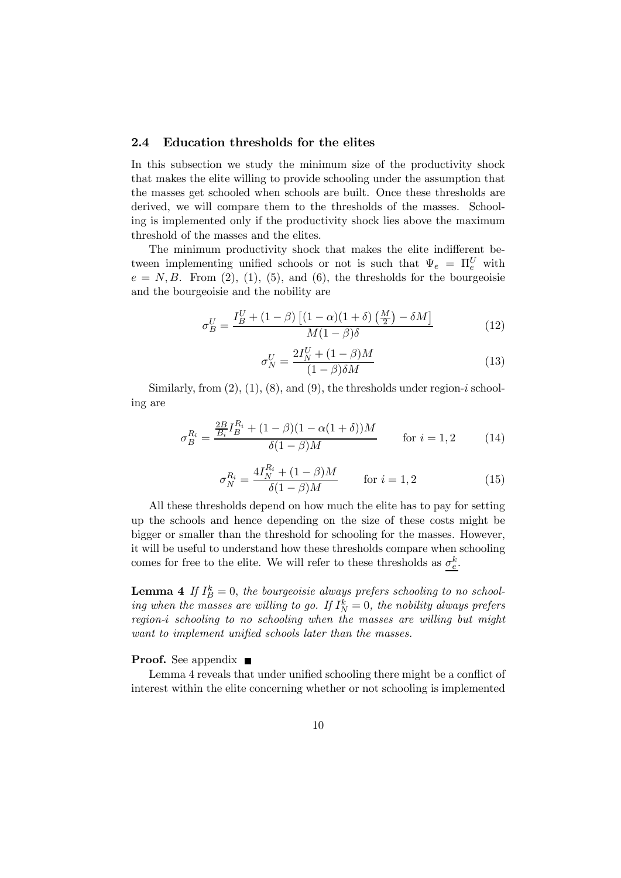### 2.4 Education thresholds for the elites

In this subsection we study the minimum size of the productivity shock that makes the elite willing to provide schooling under the assumption that the masses get schooled when schools are built. Once these thresholds are derived, we will compare them to the thresholds of the masses. Schooling is implemented only if the productivity shock lies above the maximum threshold of the masses and the elites.

The minimum productivity shock that makes the elite indifferent between implementing unified schools or not is such that  $\Psi_e = \Pi_e^U$  with  $e = N, B$ . From (2), (1), (5), and (6), the thresholds for the bourgeoisie and the bourgeoisie and the nobility are

$$
\sigma_B^U = \frac{I_B^U + (1 - \beta) \left[ (1 - \alpha)(1 + \delta) \left( \frac{M}{2} \right) - \delta M \right]}{M(1 - \beta)\delta} \tag{12}
$$

$$
\sigma_N^U = \frac{2I_N^U + (1 - \beta)M}{(1 - \beta)\delta M} \tag{13}
$$

Similarly, from  $(2)$ ,  $(1)$ ,  $(8)$ , and  $(9)$ , the thresholds under region-*i* schooling are

$$
\sigma_B^{R_i} = \frac{\frac{2B}{B_i} I_B^{R_i} + (1 - \beta)(1 - \alpha(1 + \delta))M}{\delta(1 - \beta)M} \quad \text{for } i = 1, 2 \quad (14)
$$

$$
\sigma_N^{R_i} = \frac{4I_N^{R_i} + (1 - \beta)M}{\delta(1 - \beta)M} \quad \text{for } i = 1, 2
$$
 (15)

All these thresholds depend on how much the elite has to pay for setting up the schools and hence depending on the size of these costs might be bigger or smaller than the threshold for schooling for the masses. However, it will be useful to understand how these thresholds compare when schooling comes for free to the elite. We will refer to these thresholds as  $\sigma_e^k$ .

**Lemma 4** If  $I_B^k = 0$ , the bourgeoisie always prefers schooling to no schooling when the masses are willing to go. If  $I_N^k = 0$ , the nobility always prefers  $region-i$  schooling to no schooling when the masses are willing but might want to implement unified schools later than the masses.

#### **Proof.** See appendix ■

Lemma 4 reveals that under unified schooling there might be a conflict of interest within the elite concerning whether or not schooling is implemented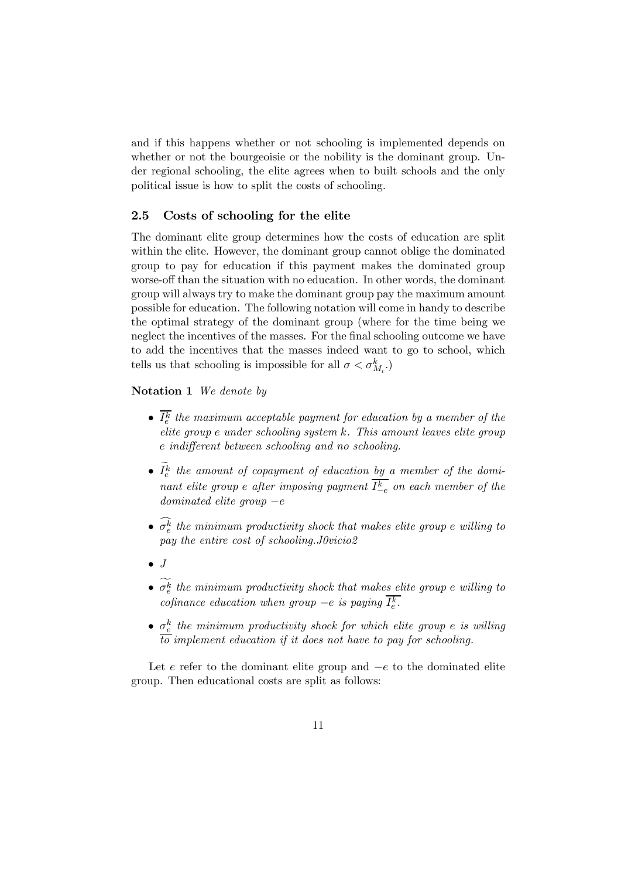and if this happens whether or not schooling is implemented depends on whether or not the bourgeoisie or the nobility is the dominant group. Under regional schooling, the elite agrees when to built schools and the only political issue is how to split the costs of schooling.

#### 2.5 Costs of schooling for the elite

The dominant elite group determines how the costs of education are split within the elite. However, the dominant group cannot oblige the dominated group to pay for education if this payment makes the dominated group worse-off than the situation with no education. In other words, the dominant group will always try to make the dominant group pay the maximum amount possible for education. The following notation will come in handy to describe the optimal strategy of the dominant group (where for the time being we neglect the incentives of the masses. For the final schooling outcome we have to add the incentives that the masses indeed want to go to school, which tells us that schooling is impossible for all  $\sigma < \sigma_{M_i}^k$ .)

## Notation 1 We denote by

- $I_e^k$  the maximum acceptable payment for education by a member of the  $e$ lite group  $e$  under schooling system  $k$ . This amount leaves elite group indifferent between schooling and no schooling.
- $I_e^k$  the amount of copayment of education  $\underline{b y}$  a member of the dominant elite group e after imposing payment  $I_{-e}^k$  on each member of the  $dominated$  elite group  $-e$
- $\sigma_e^k$  the minimum productivity shock that makes elite group  $e$  willing to pay the entire cost of schooling.J0vicio2
- $\bullet$  J
- $\sigma_e^k$  the minimum productivity shock that makes elite group  $e$  willing to cofinance education when group  $-e$  is paying  $I_e^k$ .
- $\sigma_e^k$  the minimum productivity shock for which elite group e is willing to implement education if it does not have to pay for schooling.

Let  $e$  refer to the dominant elite group and  $-e$  to the dominated elite group. Then educational costs are split as follows: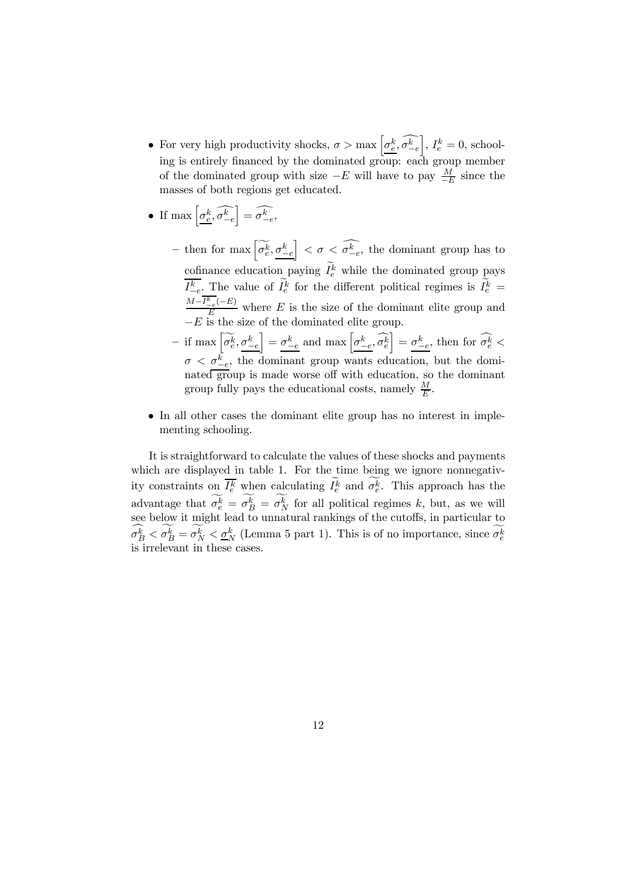- For very high productivity shocks,  $\sigma > \max \left[ \underline{\sigma_e^k}, \widehat{\sigma_{-e}^k} \right]$  $\Big]$ ,  $I_e^k = 0$ , schooling is entirely financed by the dominated group: each group member of the dominated group with size  $-E$  will have to pay  $\frac{M}{-E}$  since the masses of both regions get educated.
- If  $\max\left[\underbrace{\sigma_e^k}{\sigma_{-e}^k}\right]$  $\left] = \widehat{\sigma^{k}_{-e}},$ 
	- then for max  $\left[\widetilde{\sigma_e^k}, \sigma_{-e}^k\right]$  $\left[ \right] < \sigma < \widehat{\sigma}_{-e}^{\widehat{k}},$  the dominant group has to cofinance education paying  $I_e^k$  while the dominated group pays  $I_{-e}^k$ . The value of  $I_e^k$  for the different political regimes is  $I_e^k$  =  $\frac{M-I_{-e}^{k}(-E)}{E}$  where E is the size of the dominant elite group and  $-E$  is the size of the dominated elite group.
	- $-$  if max  $\left[\widetilde{\sigma_e^k}, \underline{\sigma_{-e}^k}\right]$  $\left[\frac{1}{\sigma_{-e}^k}\right] = \frac{\sigma_{-e}^k}{\sigma_{-e}^k}$ ,  $\widehat{\sigma_e^k}$  =  $\frac{\sigma_{-e}^k}{\sigma_{-e}^k}$ , then for  $\widehat{\sigma_e^k}$  $\sigma < \underline{\sigma}_{-e}^{\overline{k}},$  the dominant group wants education, but the dominated group is made worse off with education, so the dominant group fully pays the educational costs, namely  $\frac{M}{E}$ .
- In all other cases the dominant elite group has no interest in implementing schooling.

It is straightforward to calculate the values of these shocks and payments which are displayed in table 1. For the time being we ignore nonnegativity constraints on  $I_e^k$  when calculating  $I_e^k$  and  $\sigma_e^k$ . This approach has the advantage that  $\sigma_e^k = \sigma_B^k = \sigma_N^k$  for all political regimes k, but, as we will see below it might lead to unnatural rankings of the cutoffs, in particular to  $\sigma_B^k < \sigma_B^k = \sigma_N^k < \underline{\sigma_N}^k$  (Lemma 5 part 1). This is of no importance, since  $\sigma_e^k$ is irrelevant in these cases.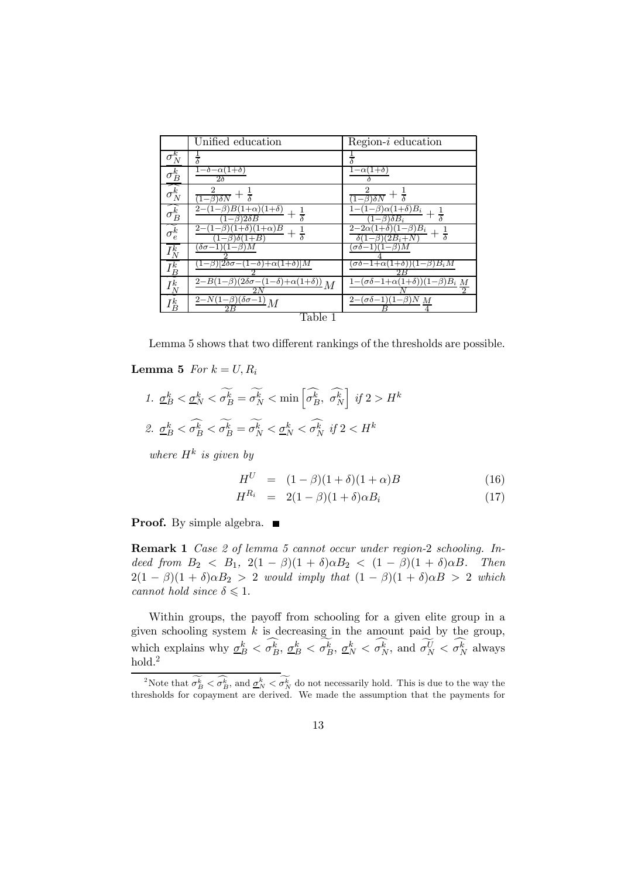|                        | Unified education                                                                   | $Region-i$ education                                                          |
|------------------------|-------------------------------------------------------------------------------------|-------------------------------------------------------------------------------|
| $\sigma_N^k$           | $\bar{\bar{\delta}}$                                                                | $\overline{\delta}$                                                           |
| $\sigma_B^k$           | $1-\delta-\alpha(1+\delta)$<br>$2\delta$                                            | $1-\alpha(1+\delta)$                                                          |
| $\widehat{\sigma_N^k}$ | $(1-\beta)\delta N$                                                                 | $\overline{(1-\beta)\delta N}$                                                |
| $\sigma_B^k$           | $_{2-}$<br>$(1+\alpha)(1+\delta)$<br>$\beta$<br>$\frac{1}{\delta}$<br>) $2\delta B$ | $\beta) \alpha (1+\delta) B_i$<br>$+\frac{1}{\delta}$<br>$\delta B_i$         |
| $\sigma_e^k$           | 2-<br>$(1+\alpha)B$<br>$+ \frac{1}{\delta}$                                         | $-\beta)B_i$<br>$2 - 2\alpha$<br>$\frac{1}{\delta}$<br>$(2B_i + N$<br>$\beta$ |
| $I^k_N$                | $\delta \sigma - 1$ )<br>$(1-\beta)$                                                | $(1-\beta)M$<br>$\sigma\delta-$                                               |
| $I^k_{\underline{B}}$  | $(1-\beta)[2\delta\sigma-(1-\delta)+\alpha(1+\delta)]M$                             | $(\sigma\delta-1+\alpha(1+\delta))(1-\beta)B_iM$<br>2R                        |
| $I^k_N$                | $\frac{2-B(1-\beta)(2\delta\sigma-(1-\delta)+\alpha(1+\delta))}{M}M$                | $\frac{1-(\sigma\delta-1+\alpha(1+\delta))(1-\beta)B_i}{M}$                   |
| $I_B^k$                | $\frac{2-N(1-\beta)}{(\delta\sigma-1)}M$<br>2B                                      | $2-(\sigma\delta-1)(1-\beta)N M$                                              |
| Table 1                |                                                                                     |                                                                               |

Lemma 5 shows that two different rankings of the thresholds are possible.

#### **Lemma 5** For  $k = U, R_i$

 $1. \ \underline{\sigma_B^k} < \underline{\sigma_N^k} < \widetilde{\sigma_B^k} = \widetilde{\sigma_N^k} < \min\left[\widehat{\sigma_B^k}, \ \widehat{\sigma_N^k}\right]$  $\left| \begin{array}{c} if \, 2 > H^k \end{array} \right.$ 2.  $\underline{\sigma}_B^k < \sigma_B^k < \sigma_B^k = \sigma_N^k < \underline{\sigma}_N^k < \sigma_N^k$  if  $2 < H^k$ 

where  $H^k$  is given by

$$
H^{U} = (1 - \beta)(1 + \delta)(1 + \alpha)B
$$
 (16)

$$
H^{R_i} = 2(1 - \beta)(1 + \delta)\alpha B_i \tag{17}
$$

**Proof.** By simple algebra.  $\blacksquare$ 

Remark 1 Case 2 of lemma 5 cannot occur under region-2 schooling. Indeed from  $B_2 < B_1$ ,  $2(1 - \beta)(1 + \delta)\alpha B_2 < (1 - \beta)(1 + \delta)\alpha B$ . Then  $2(1 - \beta)(1 + \delta)\alpha B_2 > 2$  would imply that  $(1 - \beta)(1 + \delta)\alpha B > 2$  which cannot hold since  $\delta \leq 1$ .

Within groups, the payoff from schooling for a given elite group in a given schooling system  $k$  is decreasing in the amount paid by the group, which explains why  $\underline{\sigma}_B^k < \sigma_B^k$ ,  $\underline{\sigma}_B^k < \sigma_B^k$ ,  $\underline{\sigma}_N^k < \sigma_N^k$ , and  $\sigma_N^U < \sigma_N^k$  always  $_{\rm hold.}{}^{2}$ 

<sup>&</sup>lt;sup>2</sup>Note that  $\sigma_B^k < \sigma_B^k$ , and  $\underline{\sigma}_N^k < \sigma_N^k$  do not necessarily hold. This is due to the way the thresholds for copayment are derived. We made the assumption that the payments for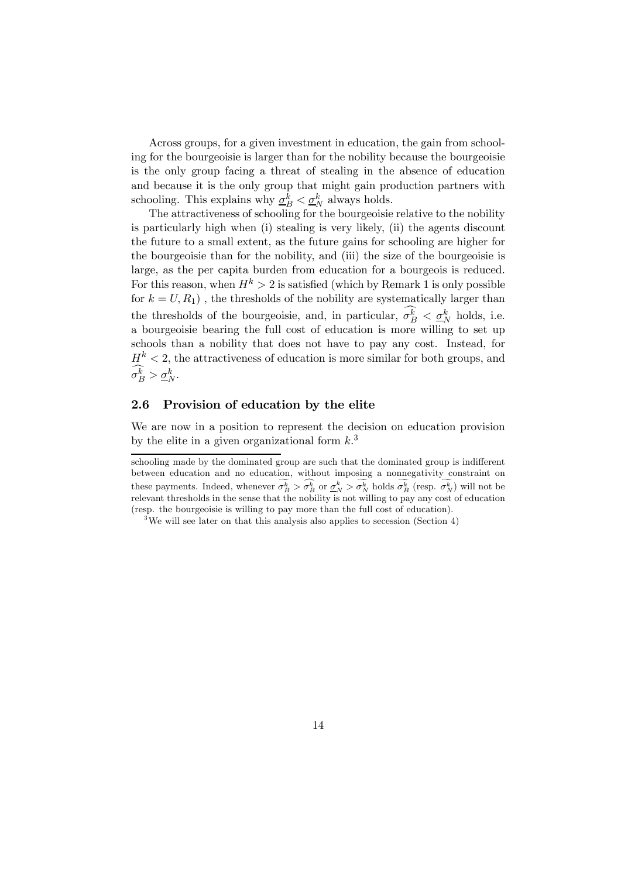Across groups, for a given investment in education, the gain from schooling for the bourgeoisie is larger than for the nobility because the bourgeoisie is the only group facing a threat of stealing in the absence of education and because it is the only group that might gain production partners with schooling. This explains why  $\underline{\sigma}_B^k < \underline{\sigma}_N^k$  always holds.

The attractiveness of schooling for the bourgeoisie relative to the nobility is particularly high when (i) stealing is very likely, (ii) the agents discount the future to a small extent, as the future gains for schooling are higher for the bourgeoisie than for the nobility, and (iii) the size of the bourgeoisie is large, as the per capita burden from education for a bourgeois is reduced. For this reason, when  $H^k > 2$  is satisfied (which by Remark 1 is only possible for  $k = U, R_1$ ), the thresholds of the nobility are systematically larger than the thresholds of the bourgeoisie, and, in particular,  $\sigma_B^k < \underline{\sigma}_N^k$  holds, i.e. a bourgeoisie bearing the full cost of education is more willing to set up schools than a nobility that does not have to pay any cost. Instead, for  $H^k$  < 2, the attractiveness of education is more similar for both groups, and  $\sigma_B^k > \underline{\sigma}_N^k$ .

## 2.6 Provision of education by the elite

We are now in a position to represent the decision on education provision by the elite in a given organizational form  $k<sup>3</sup>$ .

schooling made by the dominated group are such that the dominated group is indifferent between education and no education, without imposing a nonnegativity constraint on these payments. Indeed, whenever  $\sigma_B^k > \sigma_B^k$  or  $\underline{\sigma}_N^k > \sigma_N^k$  holds  $\sigma_B^k$  (resp.  $\sigma_N^k$ ) will not be relevant thresholds in the sense that the nobility is not willing to pay any cost of education (resp. the bourgeoisie is willing to pay more than the full cost of education).

<sup>&</sup>lt;sup>3</sup>We will see later on that this analysis also applies to secession (Section 4)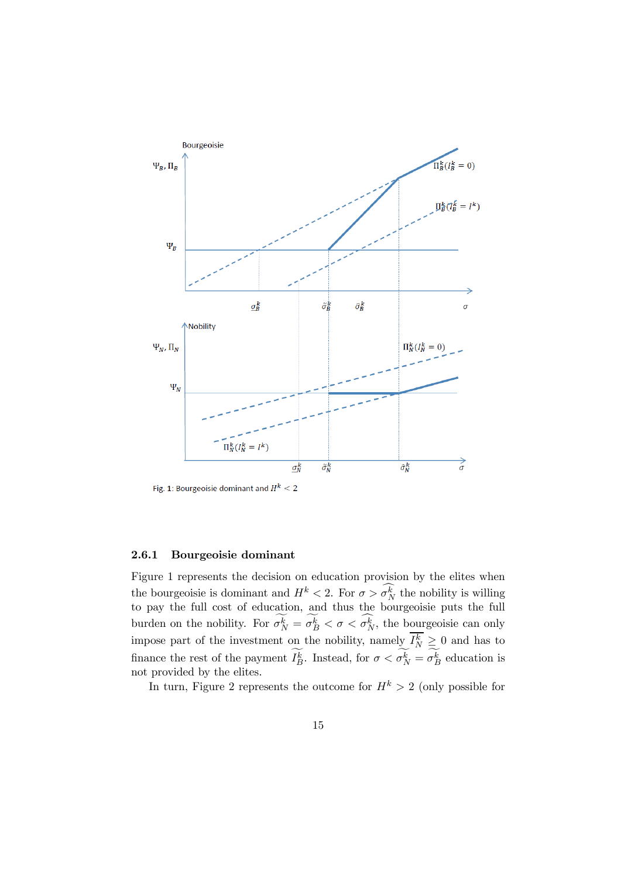

Fig. 1: Bourgeoisie dominant and  $H^k < 2$ 

#### 2.6.1 Bourgeoisie dominant

Figure 1 represents the decision on education provision by the elites when the bourgeoisie is dominant and  $H^k < 2$ . For  $\sigma > \sigma_N^k$  the nobility is willing to pay the full cost of education, and thus the bourgeoisie puts the full burden on the nobility. For  $\sigma_N^k = \sigma_B^k < \sigma < \sigma_N^k$ , the bourgeoisie can only impose part of the investment on the nobility, namely  $I_N^k \geq 0$  and has to finance the rest of the payment  $I_B^k$ . Instead, for  $\sigma < \sigma_N^k = \sigma_B^k$  education is not provided by the elites.

In turn, Figure 2 represents the outcome for  $H^k > 2$  (only possible for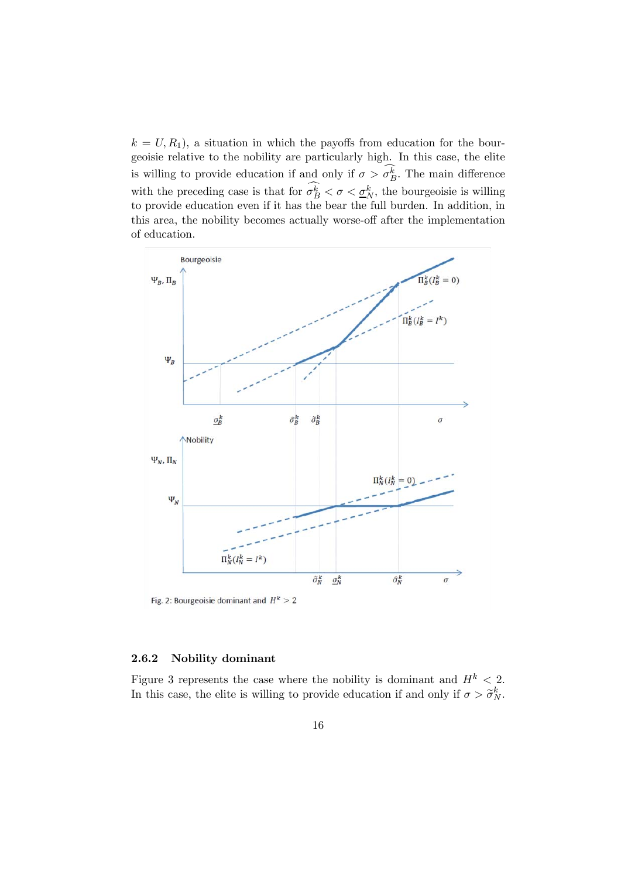$k = U, R_1$ , a situation in which the payoffs from education for the bourgeoisie relative to the nobility are particularly high. In this case, the elite is willing to provide education if and only if  $\sigma > \sigma_B^k$ . The main difference with the preceding case is that for  $\sigma_B^k < \sigma < \underline{\sigma}_N^k$ , the bourgeoisie is willing to provide education even if it has the bear the full burden. In addition, in this area, the nobility becomes actually worse-off after the implementation of education.



### 2.6.2 Nobility dominant

Figure 3 represents the case where the nobility is dominant and  $H^k < 2$ . In this case, the elite is willing to provide education if and only if  $\sigma > \tilde{\sigma}_N^k$ .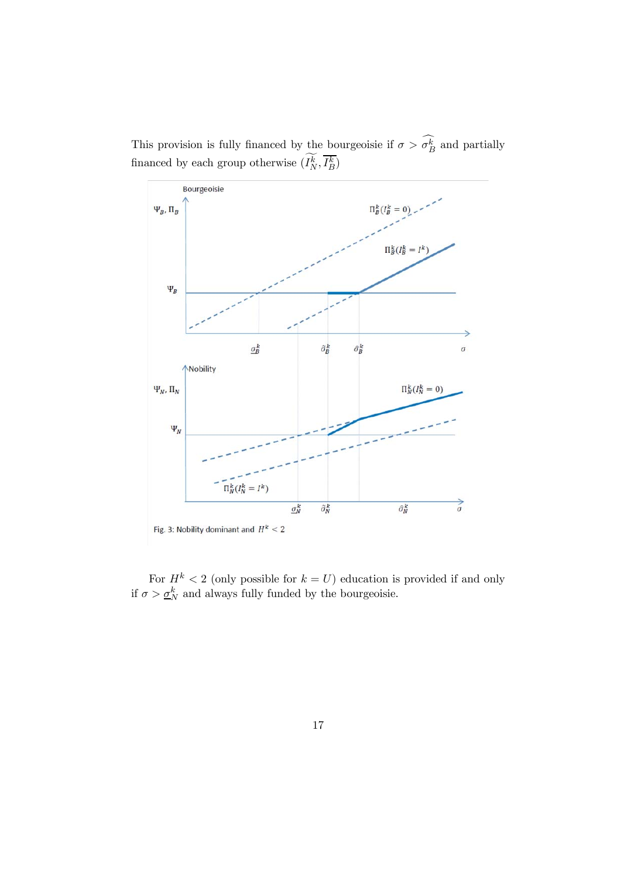This provision is fully financed by the bourgeoisie if  $\sigma > \sigma_B^k$  and partially financed by each group otherwise  $(I_N^k, I_B^k)$ 



For  $H^k < 2$  (only possible for  $k = U$ ) education is provided if and only if  $\sigma > \underline{\sigma}_N^k$  and always fully funded by the bourgeoisie.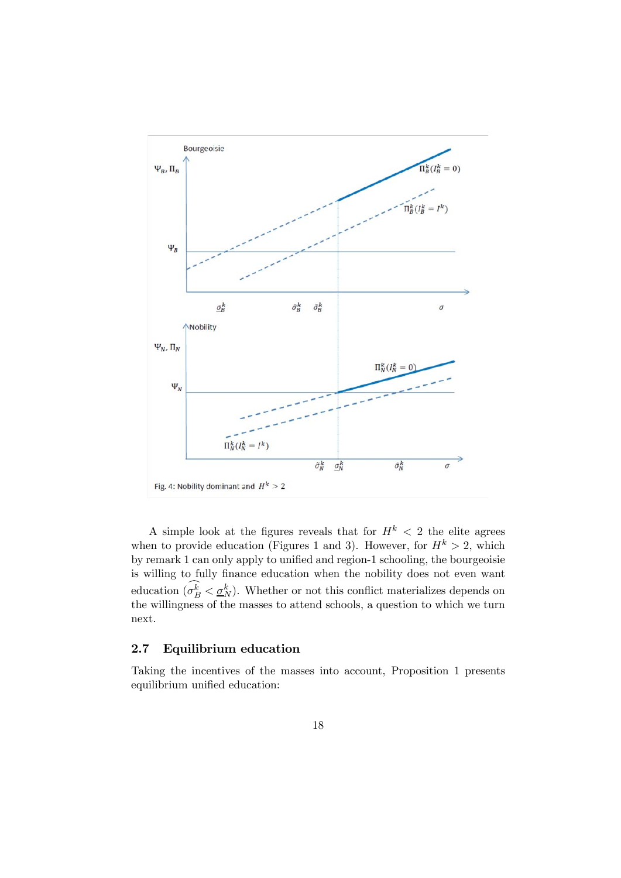

A simple look at the figures reveals that for  $H^k < 2$  the elite agrees when to provide education (Figures 1 and 3). However, for  $H^k > 2$ , which by remark 1 can only apply to unified and region-1 schooling, the bourgeoisie is willing to fully finance education when the nobility does not even want education  $(\sigma_B^k < \underline{\sigma}_N^k)$ . Whether or not this conflict materializes depends on the willingness of the masses to attend schools, a question to which we turn next.

## 2.7 Equilibrium education

Taking the incentives of the masses into account, Proposition 1 presents equilibrium unified education: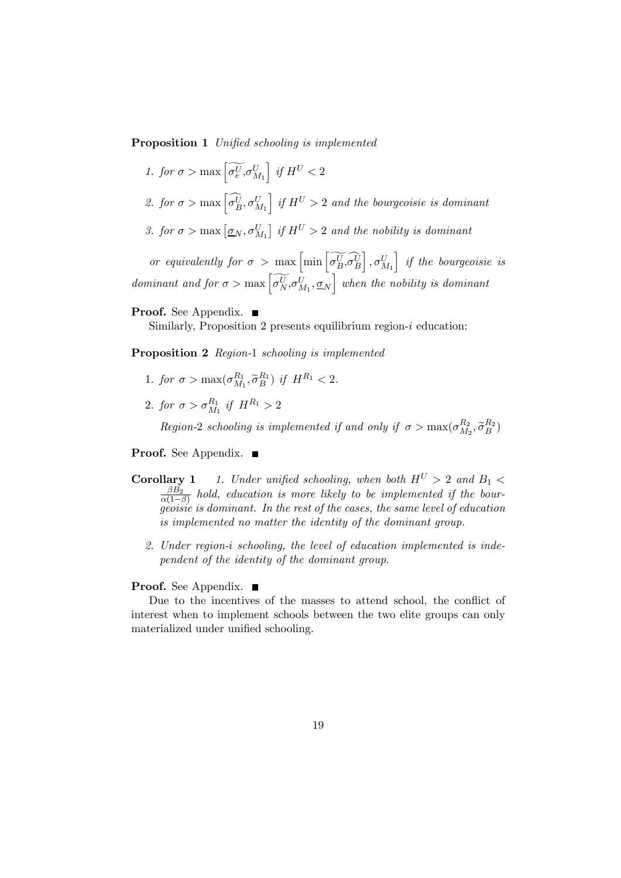Proposition 1 Unified schooling is implemented

- 1. for  $\sigma > \max \left[ \widetilde{\sigma_e^U}, \sigma_{M_1}^U \right]$  $\int$  if  $H^U < 2$
- 2. for  $\sigma > \max\left[\widehat{\sigma_B^U}, \sigma_{M_1}^U\right]$  $\int$  if  $H^U > 2$  and the bourgeoisie is dominant
- 3. for  $\sigma > \max \left[ \underline{\sigma}_N, \sigma_{M_1}^U \right]$  if  $H^U > 2$  and the nobility is dominant

or equivalently for  $\sigma > \max \left[ \min \left[ \widetilde{\sigma_B^U} \widetilde{\sigma_B^U} \right] \right]$  $\Big]$ ,  $\sigma_{M_1}^U$ i if the bourgeoisie is dominant and for  $\sigma > \max \left[ \widetilde{\sigma_N^U} \sigma M_1, \underline{\sigma_N} \right]$  when the nobility is dominant

### **Proof.** See Appendix. ■

Similarly, Proposition 2 presents equilibrium region- $i$  education:

Proposition 2 Region-1 schooling is implemented

- 1. for  $\sigma > \max(\sigma_{M_1}^{R_1}, \tilde{\sigma}_B^{R_1})$  if  $H^{R_1} < 2$ .
- 2. for  $\sigma > \sigma_{M_1}^{R_1}$  if  $H^{R_1} > 2$

Region-2 schooling is implemented if and only if  $\sigma > \max(\sigma_{M_2}^{R_2}, \widetilde{\sigma}_B^{R_2})$ 

Proof. See Appendix. ■

- **Corollary 1** 1. Under unified schooling, when both  $H^U > 2$  and  $B_1 <$  $\frac{\beta B_2}{\alpha(1-\beta)}$  hold, education is more likely to be implemented if the bourgeoisie is dominant. In the rest of the cases, the same level of education is implemented no matter the identity of the dominant group.
	- 2. Under region-i schooling, the level of education implemented is independent of the identity of the dominant group.

### Proof. See Appendix. ■

Due to the incentives of the masses to attend school, the conflict of interest when to implement schools between the two elite groups can only materialized under unified schooling.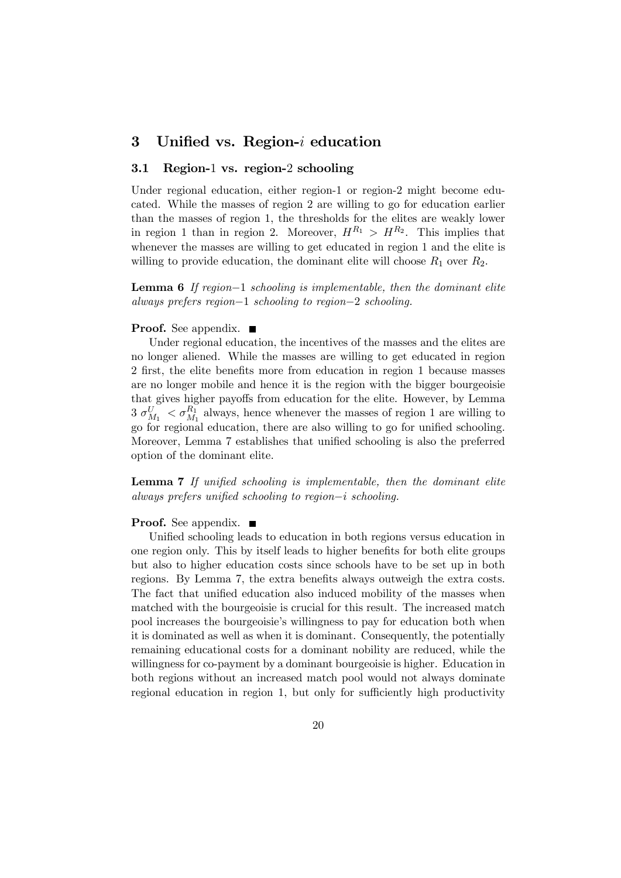## 3 Unified vs. Region- $i$  education

#### 3.1 Region-1 vs. region-2 schooling

Under regional education, either region-1 or region-2 might become educated. While the masses of region 2 are willing to go for education earlier than the masses of region 1, the thresholds for the elites are weakly lower in region 1 than in region 2. Moreover,  $H^{R_1} > H^{R_2}$ . This implies that whenever the masses are willing to get educated in region 1 and the elite is willing to provide education, the dominant elite will choose  $R_1$  over  $R_2$ .

**Lemma 6** If region–1 schooling is implementable, then the dominant elite always prefers region−1 schooling to region−2 schooling.

### **Proof.** See appendix.  $\blacksquare$

Under regional education, the incentives of the masses and the elites are no longer aliened. While the masses are willing to get educated in region 2 first, the elite benefits more from education in region 1 because masses are no longer mobile and hence it is the region with the bigger bourgeoisie that gives higher payoffs from education for the elite. However, by Lemma  $3 \sigma_{M_1}^U < \sigma_{M_1}^{R_1}$  always, hence whenever the masses of region 1 are willing to go for regional education, there are also willing to go for unified schooling. Moreover, Lemma 7 establishes that unified schooling is also the preferred option of the dominant elite.

Lemma 7 If unified schooling is implementable, then the dominant elite always prefers unified schooling to region $-i$  schooling.

#### Proof. See appendix. ■

Unified schooling leads to education in both regions versus education in one region only. This by itself leads to higher benefits for both elite groups but also to higher education costs since schools have to be set up in both regions. By Lemma 7, the extra benefits always outweigh the extra costs. The fact that unified education also induced mobility of the masses when matched with the bourgeoisie is crucial for this result. The increased match pool increases the bourgeoisie's willingness to pay for education both when it is dominated as well as when it is dominant. Consequently, the potentially remaining educational costs for a dominant nobility are reduced, while the willingness for co-payment by a dominant bourgeoisie is higher. Education in both regions without an increased match pool would not always dominate regional education in region 1, but only for sufficiently high productivity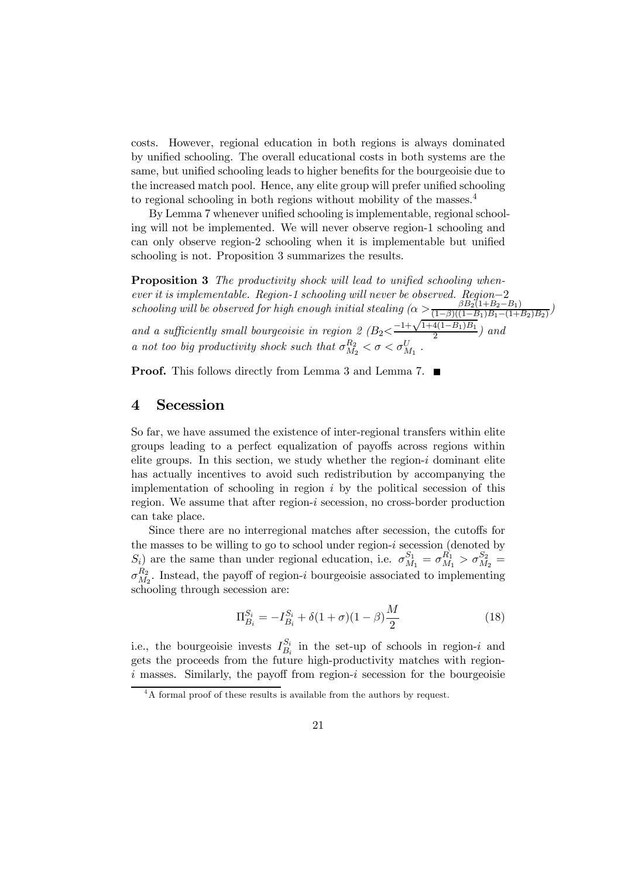costs. However, regional education in both regions is always dominated by unified schooling. The overall educational costs in both systems are the same, but unified schooling leads to higher benefits for the bourgeoisie due to the increased match pool. Hence, any elite group will prefer unified schooling to regional schooling in both regions without mobility of the masses.<sup>4</sup>

By Lemma 7 whenever unified schooling is implementable, regional schooling will not be implemented. We will never observe region-1 schooling and can only observe region-2 schooling when it is implementable but unified schooling is not. Proposition 3 summarizes the results.

Proposition 3 The productivity shock will lead to unified schooling whenever it is implementable. Region-1 schooling will never be observed. Region–2<br> $\frac{R}{6}R_0(1+R_0-1)$ schooling will be observed for high enough initial stealing  $(\alpha \geq \frac{\beta B_2(1+B_2-B_1)}{(1-\beta)((1-B_1)B_1-(1+B_2)B_2)})$ and a sufficiently small bourgeoisie in region 2  $(B_2<\frac{-1+\sqrt{1+4(1-B_1)B_1}}{2})$  and a not too big productivity shock such that  $\sigma_{M_2}^{R_2} < \sigma < \sigma_{M_1}^{U}$ .

**Proof.** This follows directly from Lemma 3 and Lemma 7. ■

## 4 Secession

So far, we have assumed the existence of inter-regional transfers within elite groups leading to a perfect equalization of payoffs across regions within elite groups. In this section, we study whether the region- $i$  dominant elite has actually incentives to avoid such redistribution by accompanying the implementation of schooling in region  $i$  by the political secession of this region. We assume that after region- $i$  secession, no cross-border production can take place.

Since there are no interregional matches after secession, the cutoffs for the masses to be willing to go to school under region- $i$  secession (denoted by  $S_i$ ) are the same than under regional education, i.e.  $\sigma_{M_1}^{S_1} = \sigma_{M_1}^{R_1} > \sigma_{M_2}^{S_2} =$  $\sigma_{M_2}^{R_2}$ . Instead, the payoff of region-*i* bourgeoisie associated to implementing schooling through secession are:

$$
\Pi_{B_i}^{S_i} = -I_{B_i}^{S_i} + \delta(1+\sigma)(1-\beta)\frac{M}{2}
$$
\n(18)

i.e., the bourgeoisie invests  $I_{B_i}^{S_i}$  in the set-up of schools in region-*i* and gets the proceeds from the future high-productivity matches with region  $i$  masses. Similarly, the payoff from region- $i$  secession for the bourgeoisie

<sup>&</sup>lt;sup>4</sup>A formal proof of these results is available from the authors by request.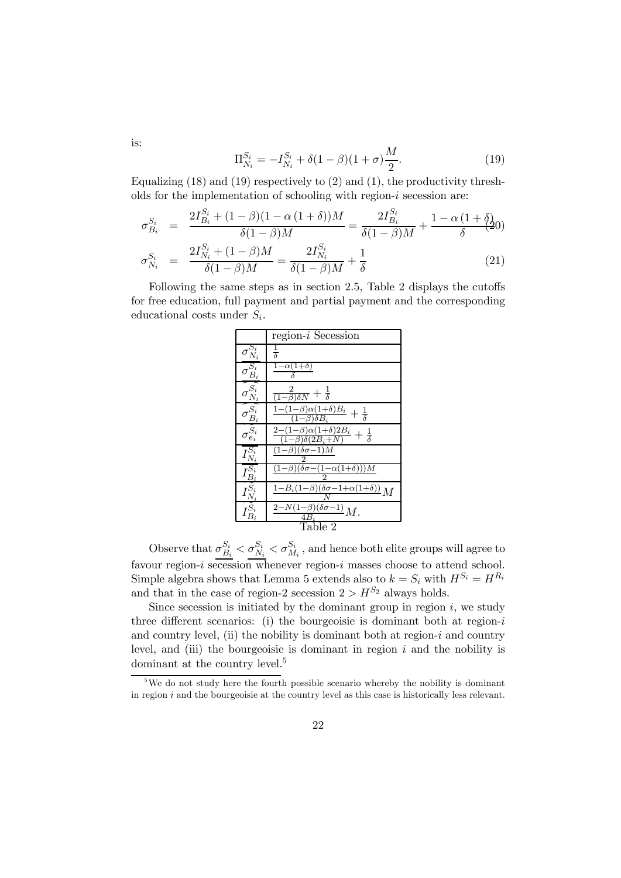$$
\Pi_{N_i}^{S_i} = -I_{N_i}^{S_i} + \delta(1-\beta)(1+\sigma)\frac{M}{2}.\tag{19}
$$

Equalizing  $(18)$  and  $(19)$  respectively to  $(2)$  and  $(1)$ , the productivity thresholds for the implementation of schooling with region- $i$  secession are:

$$
\sigma_{B_i}^{S_i} = \frac{2I_{B_i}^{S_i} + (1 - \beta)(1 - \alpha(1 + \delta))M}{\delta(1 - \beta)M} = \frac{2I_{B_i}^{S_i}}{\delta(1 - \beta)M} + \frac{1 - \alpha(1 + \delta)}{\delta(1 - \beta)M}
$$
\n
$$
\sigma_{N_i}^{S_i} = \frac{2I_{N_i}^{S_i} + (1 - \beta)M}{\delta(1 - \beta)M} = \frac{2I_{N_i}^{S_i}}{\delta(1 - \beta)M} + \frac{1}{\delta}
$$
\n(21)

Following the same steps as in section 2.5, Table 2 displays the cutoffs for free education, full payment and partial payment and the corresponding educational costs under  $S_i$ .

|                                                           | $region-i$ Secession                                                                                            |  |
|-----------------------------------------------------------|-----------------------------------------------------------------------------------------------------------------|--|
| $\sigma_{N_i}^{S_i}$                                      | $\frac{1}{\delta}$                                                                                              |  |
| $\overline{\sigma_{B_i}^{S_i}}$                           | $1-\alpha(1+\delta)$                                                                                            |  |
| $\sigma_{N_i}^{S_i}$                                      | $\frac{2}{(1-\beta)\delta N}+\frac{1}{\delta}$                                                                  |  |
| $\widehat{\frac{\sigma^{S_i}_{B_i}}{\sigma^{S_i}_{e_i}}}$ | $\frac{1-(1-\beta)\alpha(1+\delta)B_i}{\alpha \delta B}+\frac{1}{\delta}$<br>$(1-\beta)\delta B_i$              |  |
|                                                           | $\frac{\overline{2-(1-\beta)\alpha(1+\delta)2B_i}}{2}+\frac{1}{\delta}$<br>$\overline{(1-\beta)\delta(2B_i+N)}$ |  |
| $I_{N_i}^{S_i}$                                           | $(1-\beta)(\delta\sigma-1)M$                                                                                    |  |
|                                                           | $(1-\beta)(\delta\sigma-(1-\alpha(1+\delta)))M$                                                                 |  |
|                                                           | $\frac{1-B_i(1-\beta)(\delta\sigma-1+\alpha(1+\delta))}{N}M$                                                    |  |
|                                                           | $\frac{2-N(1-\beta)(\delta\sigma-1)}{4B_i}M.$                                                                   |  |
| Table 2                                                   |                                                                                                                 |  |

Observe that  $\sigma_{B_i}^{S_i} < \sigma_{N_i}^{S_i} < \sigma_{M_i}^{S_i}$ , and hence both elite groups will agree to favour region- $i$  secession whenever region- $i$  masses choose to attend school. Simple algebra shows that Lemma 5 extends also to  $k = S_i$  with  $H^{S_i} = H^{R_i}$ and that in the case of region-2 secession  $2 > H^{S_2}$  always holds.

Since secession is initiated by the dominant group in region  $i$ , we study three different scenarios: (i) the bourgeoisie is dominant both at region- $i$ and country level, (ii) the nobility is dominant both at region- $i$  and country level, and (iii) the bourgeoisie is dominant in region  $i$  and the nobility is dominant at the country level.<sup>5</sup>

is:

 $5$ We do not study here the fourth possible scenario whereby the nobility is dominant in region  $i$  and the bourgeoisie at the country level as this case is historically less relevant.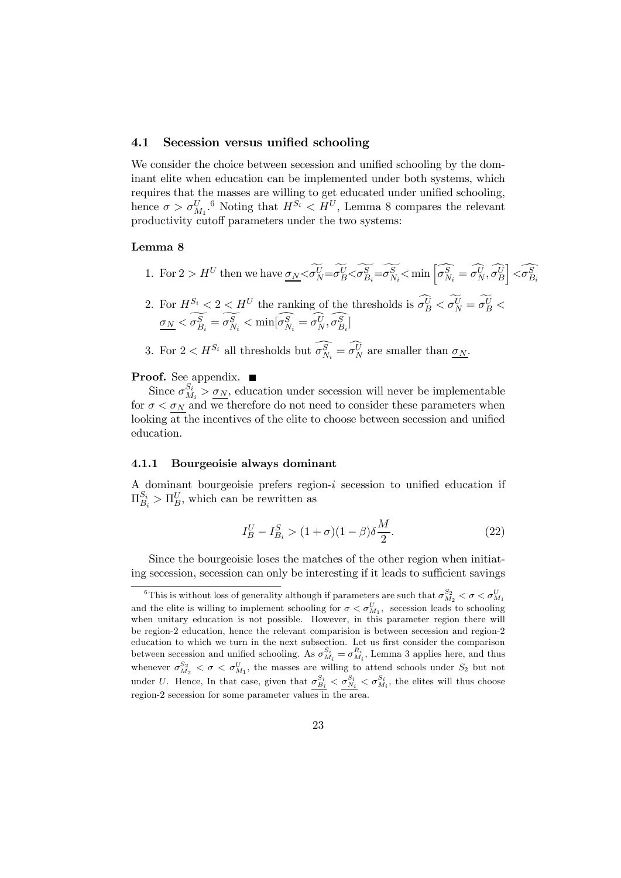### 4.1 Secession versus unified schooling

We consider the choice between secession and unified schooling by the dominant elite when education can be implemented under both systems, which requires that the masses are willing to get educated under unified schooling, hence  $\sigma > \sigma_{M_1}^U$ .<sup>6</sup> Noting that  $H^{S_i} < H^U$ , Lemma 8 compares the relevant productivity cutoff parameters under the two systems:

## Lemma 8

1. For  $2 > H^U$  then we have  $\sigma_N < \widetilde{\sigma_N^U} = \widetilde{\sigma_B^U} < \widetilde{\sigma_{B_i}^S} = \widetilde{\sigma_{N_i}^S} < \min \left[ \widehat{\sigma_{N_i}^S} = \widehat{\sigma_N^U}, \widehat{\sigma_B^U} \right]$  $\left\lceil < \widehat{\sigma_{B_i}^S} \right\rceil$ 

2. For 
$$
H^{S_i} < 2 < H^U
$$
 the ranking of the thresholds is  $\sigma_B^U < \sigma_N^U = \sigma_B^U < \sigma_N < \sigma_{B_i}^S = \sigma_{N_i}^S < \min[\sigma_{N_i}^S = \sigma_{N_i}^U, \sigma_{B_i}^S]$ 

3. For  $2 < H^{S_i}$  all thresholds but  $\sigma_{N_i}^S = \sigma_N^U$  are smaller than  $\underline{\sigma_N}$ .

**Proof.** See appendix. ■

Since  $\sigma_{M_i}^{S_i} > \underline{\sigma_N}$ , education under secession will never be implementable for  $\sigma < \sigma_N$  and we therefore do not need to consider these parameters when looking at the incentives of the elite to choose between secession and unified education.

### 4.1.1 Bourgeoisie always dominant

A dominant bourgeoisie prefers region- $i$  secession to unified education if  $\Pi_{B_i}^{S_i} > \Pi_B^U$ , which can be rewritten as

$$
I_B^U - I_{B_i}^S > (1 + \sigma)(1 - \beta)\delta \frac{M}{2}.
$$
\n(22)

Since the bourgeoisie loses the matches of the other region when initiating secession, secession can only be interesting if it leads to sufficient savings

<sup>&</sup>lt;sup>6</sup>This is without loss of generality although if parameters are such that  $\sigma_{M_2}^{S_2} < \sigma < \sigma_{M_1}^{U}$ and the elite is willing to implement schooling for  $\sigma < \sigma_{M_1}^U$ , secession leads to schooling when unitary education is not possible. However, in this parameter region there will be region-2 education, hence the relevant comparision is between secession and region-2 education to which we turn in the next subsection. Let us first consider the comparison between secession and unified schooling. As  $\sigma_{M_i}^{S_i} = \sigma_{M_i}^{R_i}$ , Lemma 3 applies here, and thus whenever  $\sigma_{M_2}^{S_2} < \sigma < \sigma_{M_1}^{U}$ , the masses are willing to attend schools under  $S_2$  but not under U. Hence, In that case, given that  $\sigma_{B_i}^{S_i} < \sigma_{N_i}^{S_i} < \sigma_{M_i}^{S_i}$ , the elites will thus choose region-2 secession for some parameter values in the area.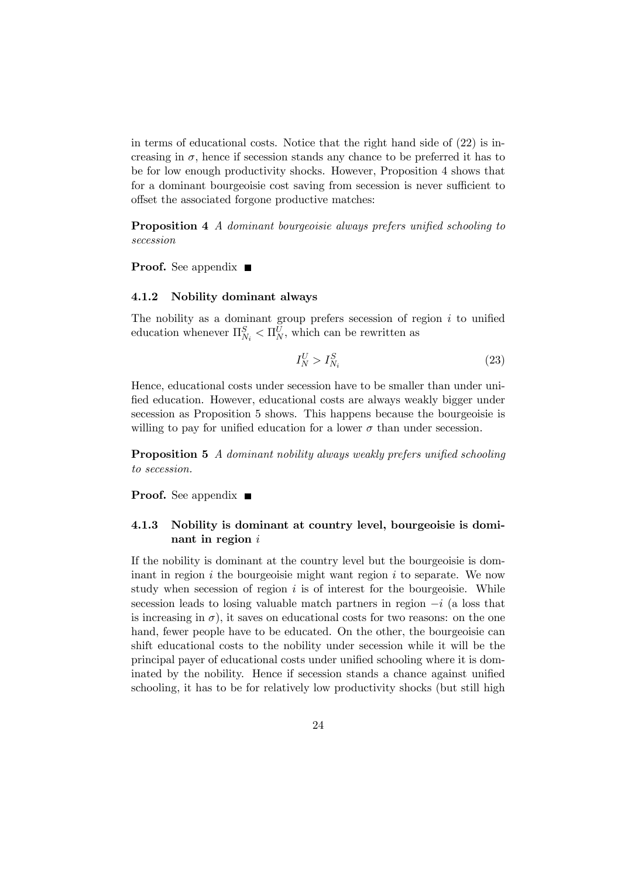in terms of educational costs. Notice that the right hand side of  $(22)$  is increasing in  $\sigma$ , hence if secession stands any chance to be preferred it has to be for low enough productivity shocks. However, Proposition 4 shows that for a dominant bourgeoisie cost saving from secession is never sufficient to offset the associated forgone productive matches:

Proposition 4 A dominant bourgeoisie always prefers unified schooling to secession

**Proof.** See appendix  $\blacksquare$ 

#### 4.1.2 Nobility dominant always

The nobility as a dominant group prefers secession of region  $i$  to unified education whenever  $\Pi_{N_i}^S < \Pi_N^U$ , which can be rewritten as

$$
I_N^U > I_{N_i}^S \tag{23}
$$

Hence, educational costs under secession have to be smaller than under unified education. However, educational costs are always weakly bigger under secession as Proposition 5 shows. This happens because the bourgeoisie is willing to pay for unified education for a lower  $\sigma$  than under secession.

Proposition 5 A dominant nobility always weakly prefers unified schooling to secession.

**Proof.** See appendix  $\blacksquare$ 

## 4.1.3 Nobility is dominant at country level, bourgeoisie is dominant in region  $i$

If the nobility is dominant at the country level but the bourgeoisie is dominant in region  $i$  the bourgeoisie might want region  $i$  to separate. We now study when secession of region  $i$  is of interest for the bourgeoisie. While secession leads to losing valuable match partners in region  $-i$  (a loss that is increasing in  $\sigma$ ), it saves on educational costs for two reasons: on the one hand, fewer people have to be educated. On the other, the bourgeoisie can shift educational costs to the nobility under secession while it will be the principal payer of educational costs under unified schooling where it is dominated by the nobility. Hence if secession stands a chance against unified schooling, it has to be for relatively low productivity shocks (but still high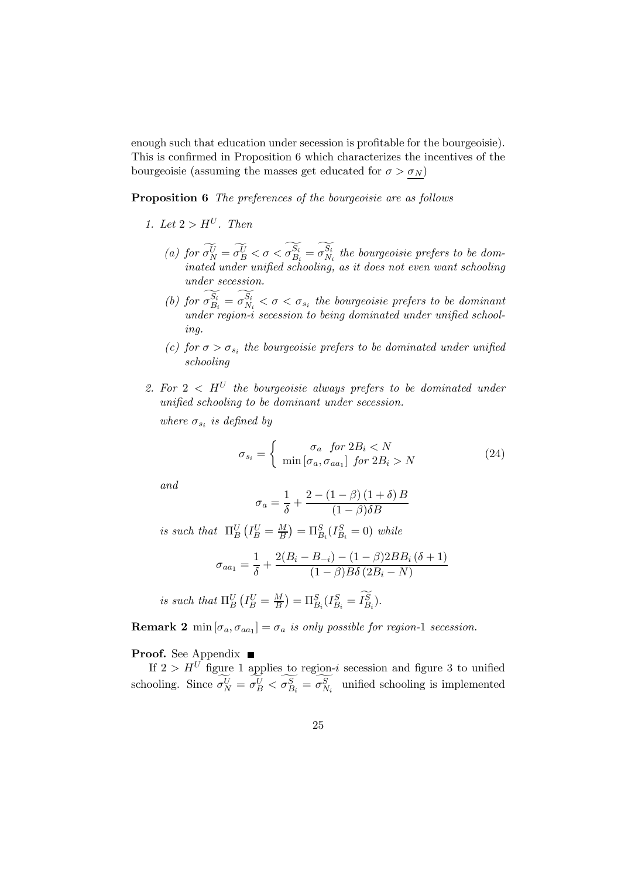enough such that education under secession is profitable for the bourgeoisie). This is confirmed in Proposition 6 which characterizes the incentives of the bourgeoisie (assuming the masses get educated for  $\sigma > \sigma_N$ )

Proposition 6 The preferences of the bourgeoisie are as follows

- 1. Let  $2 > H^U$ . Then
	- (a) for  $\sigma_N^{\bar{U}} = \sigma_B^{\bar{U}} < \sigma < \sigma_{B_i}^{S_i} = \sigma_{N_i}^{S_i}$  the bourgeoisie prefers to be dominated under unified schooling, as it does not even want schooling under secession.
	- (b) for  $\sigma_{B_i}^{S_i} = \sigma_{N_i}^{S_i} < \sigma < \sigma_{s_i}$  the bourgeoisie prefers to be dominant under region-i secession to being dominated under unified schooling.
	- (c) for  $\sigma > \sigma_{s_i}$  the bourgeoisie prefers to be dominated under unified schooling
- 2. For  $2 < H^U$  the bourgeoisie always prefers to be dominated under unified schooling to be dominant under secession.

where  $\sigma_{s_i}$  is defined by

$$
\sigma_{s_i} = \begin{cases}\n\sigma_a & \text{for } 2B_i < N \\
\min \left[ \sigma_a, \sigma_{aa_1} \right] & \text{for } 2B_i > N\n\end{cases}\n\tag{24}
$$

and

$$
\sigma_a = \frac{1}{\delta} + \frac{2 - (1 - \beta)(1 + \delta)B}{(1 - \beta)\delta B}
$$

is such that  $\Pi_B^U(I_B^U = \frac{M}{B}) = \Pi_{B_i}^S(I_{B_i}^S = 0)$  while

$$
\sigma_{aa_1} = \frac{1}{\delta} + \frac{2(B_i - B_{-i}) - (1 - \beta)2BB_i(\delta + 1)}{(1 - \beta)B\delta(2B_i - N)}
$$

is such that  $\Pi_B^U(I_B^U = \frac{M}{B}) = \Pi_{B_i}^S(I_{B_i}^S = I_{B_i}^S)$ .

**Remark 2** min  $[\sigma_a, \sigma_{aa_1}] = \sigma_a$  is only possible for region-1 secession.

**Proof.** See Appendix ■

If  $2 > H<sup>U</sup>$  figure 1 applies to region-*i* secession and figure 3 to unified schooling. Since  $\sigma_N^U = \sigma_B^U < \sigma_{B_i}^S = \sigma_{N_i}^S$  unified schooling is implemented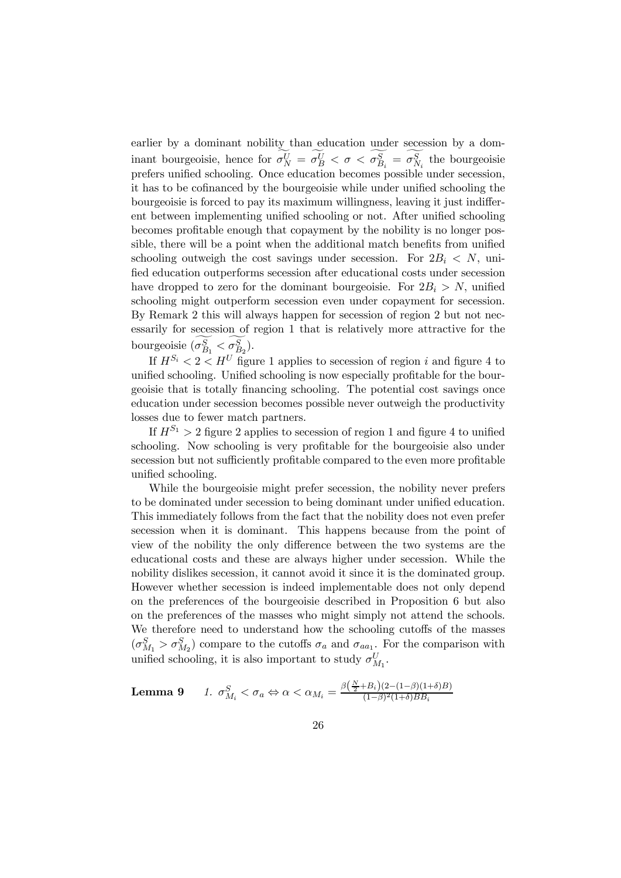earlier by a dominant nobility than education under secession by a dominant bourgeoisie, hence for  $\sigma_N^U = \sigma_B^U < \sigma < \sigma_{B_i}^S = \sigma_{N_i}^S$  the bourgeoisie prefers unified schooling. Once education becomes possible under secession, it has to be cofinanced by the bourgeoisie while under unified schooling the bourgeoisie is forced to pay its maximum willingness, leaving it just indifferent between implementing unified schooling or not. After unified schooling becomes profitable enough that copayment by the nobility is no longer possible, there will be a point when the additional match benefits from unified schooling outweigh the cost savings under secession. For  $2B_i \le N$ , unified education outperforms secession after educational costs under secession have dropped to zero for the dominant bourgeoisie. For  $2B_i > N$ , unified schooling might outperform secession even under copayment for secession. By Remark 2 this will always happen for secession of region 2 but not necessarily for secession of region 1 that is relatively more attractive for the bourgeoisie  $(\sigma_{B_1}^S < \sigma_{B_2}^S)$ .

If  $H^{S_i} < 2 < H^U$  figure 1 applies to secession of region *i* and figure 4 to unified schooling. Unified schooling is now especially profitable for the bourgeoisie that is totally financing schooling. The potential cost savings once education under secession becomes possible never outweigh the productivity losses due to fewer match partners.

If  $H^{S_1} > 2$  figure 2 applies to secession of region 1 and figure 4 to unified schooling. Now schooling is very profitable for the bourgeoisie also under secession but not sufficiently profitable compared to the even more profitable unified schooling.

While the bourgeoisie might prefer secession, the nobility never prefers to be dominated under secession to being dominant under unified education. This immediately follows from the fact that the nobility does not even prefer secession when it is dominant. This happens because from the point of view of the nobility the only difference between the two systems are the educational costs and these are always higher under secession. While the nobility dislikes secession, it cannot avoid it since it is the dominated group. However whether secession is indeed implementable does not only depend on the preferences of the bourgeoisie described in Proposition 6 but also on the preferences of the masses who might simply not attend the schools. We therefore need to understand how the schooling cutoffs of the masses  $(\sigma_{M_1}^S > \sigma_{M_2}^S)$  compare to the cutoffs  $\sigma_a$  and  $\sigma_{aa_1}$ . For the comparison with unified schooling, it is also important to study  $\sigma_{M_1}^U$ .

**Lemma 9** 1. 
$$
\sigma_{M_i}^S < \sigma_a \Leftrightarrow \alpha < \alpha_{M_i} = \frac{\beta(\frac{N}{2} + B_i)(2 - (1 - \beta)(1 + \delta)B)}{(1 - \beta)^2(1 + \delta)BB_i}
$$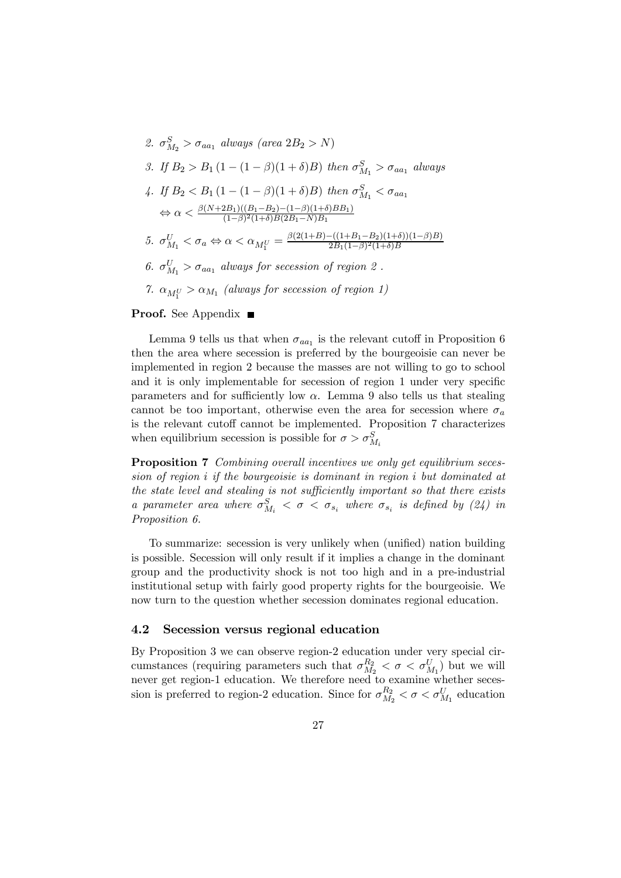2.  $\sigma_{M_2}^S > \sigma_{aa_1}$  always (area  $2B_2 > N$ ) 3. If  $B_2 > B_1 (1 - (1 - \beta)(1 + \delta)B)$  then  $\sigma_{M_1}^S > \sigma_{aa_1}$  always 4. If  $B_2 < B_1 (1 - (1 - \beta)(1 + \delta)B)$  then  $\sigma_{M_1}^S < \sigma_{aa_1}$  $\Leftrightarrow \alpha < \frac{\beta(N+2B_1)((B_1-B_2)-(1-\beta)(1+\delta)BB_1)}{(1-\beta)^2(1+\delta)B(2B_1-N)B_1}$ 5.  $\sigma_{M_1}^U < \sigma_a \Leftrightarrow \alpha < \alpha_{M_1^U} = \frac{\beta(2(1+B)-((1+B_1-B_2)(1+\delta))(1-\beta)B)}{2B_1(1-\beta)^2(1+\delta)B}$ 6.  $\sigma_{M_1}^U > \sigma_{aa_1}$  always for secession of region 2. 7.  $\alpha_{M_1^U} > \alpha_{M_1}$  (always for secession of region 1)

**Proof.** See Appendix  $\blacksquare$ 

Lemma 9 tells us that when  $\sigma_{aa_1}$  is the relevant cutoff in Proposition 6 then the area where secession is preferred by the bourgeoisie can never be implemented in region 2 because the masses are not willing to go to school and it is only implementable for secession of region 1 under very specific parameters and for sufficiently low  $\alpha$ . Lemma 9 also tells us that stealing cannot be too important, otherwise even the area for secession where  $\sigma_a$ is the relevant cutoff cannot be implemented. Proposition 7 characterizes when equilibrium secession is possible for  $\sigma > \sigma_{M_i}^S$ 

Proposition 7 Combining overall incentives we only get equilibrium secession of region  $i$  if the bourgeoisie is dominant in region  $i$  but dominated at the state level and stealing is not sufficiently important so that there exists a parameter area where  $\sigma_{M_i}^S < \sigma < \sigma_{s_i}$  where  $\sigma_{s_i}$  is defined by (24) in Proposition 6.

To summarize: secession is very unlikely when (unified) nation building is possible. Secession will only result if it implies a change in the dominant group and the productivity shock is not too high and in a pre-industrial institutional setup with fairly good property rights for the bourgeoisie. We now turn to the question whether secession dominates regional education.

#### 4.2 Secession versus regional education

By Proposition 3 we can observe region-2 education under very special circumstances (requiring parameters such that  $\sigma_{M_2}^{R_2} < \sigma < \sigma_{M_1}^{U}$ ) but we will never get region-1 education. We therefore need to examine whether secession is preferred to region-2 education. Since for  $\sigma_{M_2}^{R_2} < \sigma < \sigma_{M_1}^{U}$  education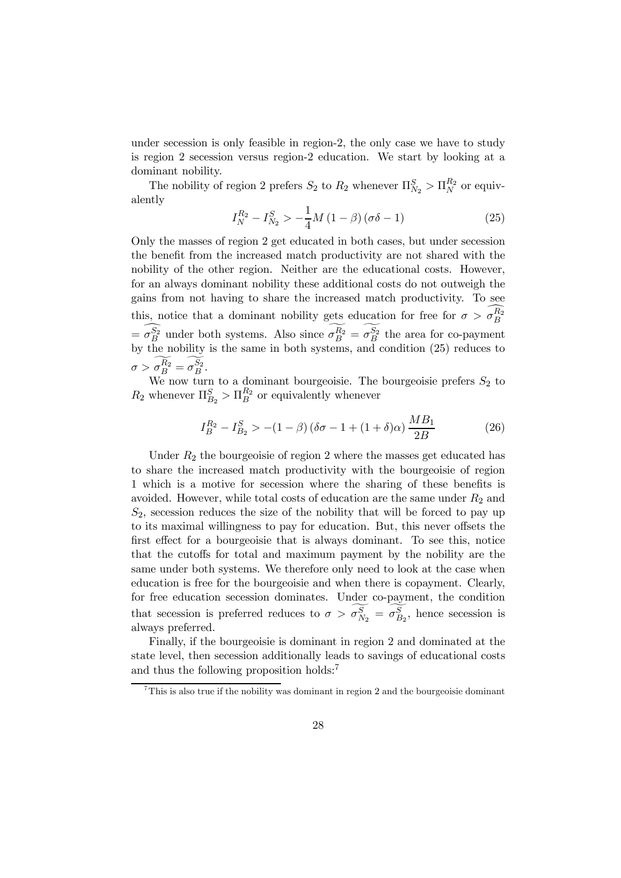under secession is only feasible in region-2, the only case we have to study is region 2 secession versus region-2 education. We start by looking at a dominant nobility.

The nobility of region 2 prefers  $S_2$  to  $R_2$  whenever  $\Pi_{N_2}^S > \Pi_N^{R_2}$  or equivalently

$$
I_N^{R_2} - I_{N_2}^S > -\frac{1}{4}M(1-\beta)(\sigma\delta - 1)
$$
 (25)

Only the masses of region 2 get educated in both cases, but under secession the benefit from the increased match productivity are not shared with the nobility of the other region. Neither are the educational costs. However, for an always dominant nobility these additional costs do not outweigh the gains from not having to share the increased match productivity. To see this, notice that a dominant nobility gets education for free for  $\sigma > \sigma_B^{R_2}$  $= \sigma_B^{S_2}$  under both systems. Also since  $\sigma_B^{R_2} = \sigma_B^{S_2}$  the area for co-payment by the nobility is the same in both systems, and condition (25) reduces to  $\sigma > \sigma_B^{R_2} = \sigma_B^{S_2}.$ 

We now turn to a dominant bourgeoisie. The bourgeoisie prefers  $S_2$  to  $R_2$  whenever  $\Pi_{B_2}^S > \Pi_B^{R_2}$  or equivalently whenever

$$
I_B^{R_2} - I_{B_2}^S > -(1 - \beta) (\delta \sigma - 1 + (1 + \delta)\alpha) \frac{MB_1}{2B}
$$
 (26)

Under  $R_2$  the bourgeoisie of region 2 where the masses get educated has to share the increased match productivity with the bourgeoisie of region 1 which is a motive for secession where the sharing of these benefits is avoided. However, while total costs of education are the same under  $R_2$  and  $S_2$ , secession reduces the size of the nobility that will be forced to pay up to its maximal willingness to pay for education. But, this never offsets the first effect for a bourgeoisie that is always dominant. To see this, notice that the cutoffs for total and maximum payment by the nobility are the same under both systems. We therefore only need to look at the case when education is free for the bourgeoisie and when there is copayment. Clearly, for free education secession dominates. Under co-payment, the condition that secession is preferred reduces to  $\sigma > \sigma_{N_2}^S = \sigma_{B_2}^S$ , hence secession is always preferred.

Finally, if the bourgeoisie is dominant in region 2 and dominated at the state level, then secession additionally leads to savings of educational costs and thus the following proposition holds:<sup>7</sup>

<sup>&</sup>lt;sup>7</sup>This is also true if the nobility was dominant in region 2 and the bourgeoisie dominant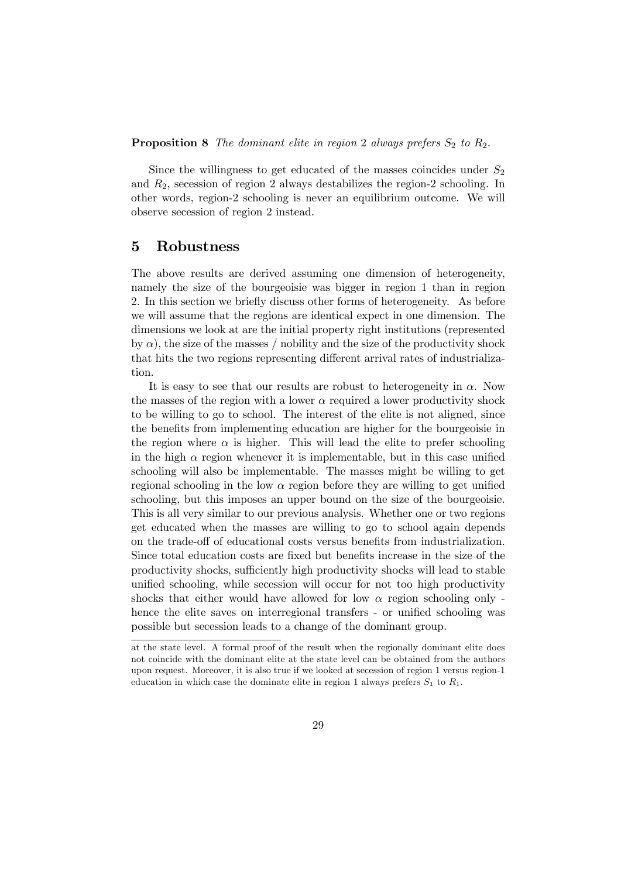**Proposition 8** The dominant elite in region 2 always prefers  $S_2$  to  $R_2$ .

Since the willingness to get educated of the masses coincides under  $S_2$ and  $R_2$ , secession of region 2 always destabilizes the region-2 schooling. In other words, region-2 schooling is never an equilibrium outcome. We will observe secession of region 2 instead.

## 5 Robustness

The above results are derived assuming one dimension of heterogeneity, namely the size of the bourgeoisie was bigger in region 1 than in region 2. In this section we briefly discuss other forms of heterogeneity. As before we will assume that the regions are identical expect in one dimension. The dimensions we look at are the initial property right institutions (represented by  $\alpha$ ), the size of the masses / nobility and the size of the productivity shock that hits the two regions representing different arrival rates of industrialization.

It is easy to see that our results are robust to heterogeneity in  $\alpha$ . Now the masses of the region with a lower  $\alpha$  required a lower productivity shock to be willing to go to school. The interest of the elite is not aligned, since the benefits from implementing education are higher for the bourgeoisie in the region where  $\alpha$  is higher. This will lead the elite to prefer schooling in the high  $\alpha$  region whenever it is implementable, but in this case unified schooling will also be implementable. The masses might be willing to get regional schooling in the low  $\alpha$  region before they are willing to get unified schooling, but this imposes an upper bound on the size of the bourgeoisie. This is all very similar to our previous analysis. Whether one or two regions get educated when the masses are willing to go to school again depends on the trade-off of educational costs versus benefits from industrialization. Since total education costs are fixed but benefits increase in the size of the productivity shocks, sufficiently high productivity shocks will lead to stable unified schooling, while secession will occur for not too high productivity shocks that either would have allowed for low  $\alpha$  region schooling only hence the elite saves on interregional transfers - or unified schooling was possible but secession leads to a change of the dominant group.

at the state level. A formal proof of the result when the regionally dominant elite does not coincide with the dominant elite at the state level can be obtained from the authors upon request. Moreover, it is also true if we looked at secession of region 1 versus region-1 education in which case the dominate elite in region 1 always prefers  $S_1$  to  $R_1$ .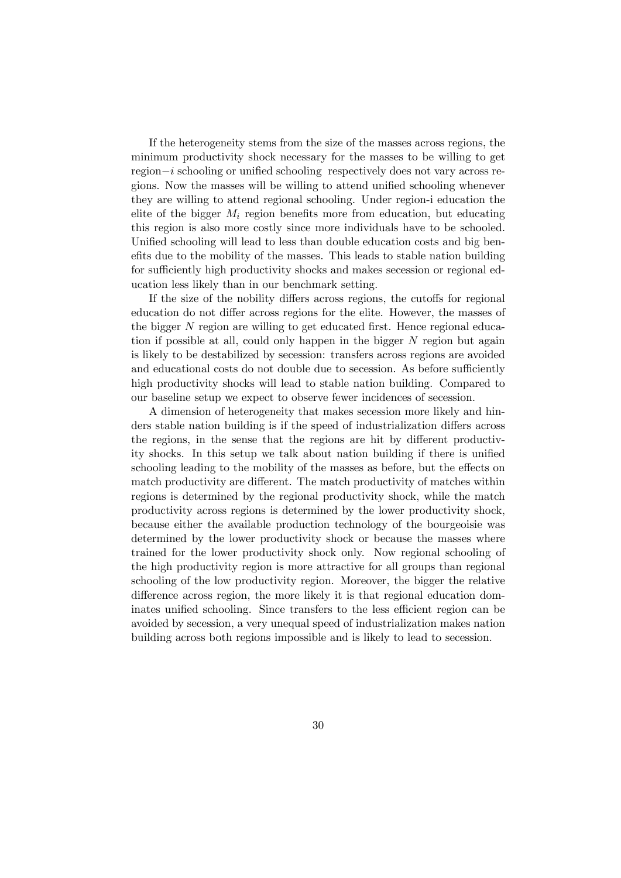If the heterogeneity stems from the size of the masses across regions, the minimum productivity shock necessary for the masses to be willing to get region−*i* schooling or unified schooling respectively does not vary across regions. Now the masses will be willing to attend unified schooling whenever they are willing to attend regional schooling. Under region-i education the elite of the bigger  $M_i$  region benefits more from education, but educating this region is also more costly since more individuals have to be schooled. Unified schooling will lead to less than double education costs and big benefits due to the mobility of the masses. This leads to stable nation building for sufficiently high productivity shocks and makes secession or regional education less likely than in our benchmark setting.

If the size of the nobility differs across regions, the cutoffs for regional education do not differ across regions for the elite. However, the masses of the bigger  $N$  region are willing to get educated first. Hence regional education if possible at all, could only happen in the bigger  $N$  region but again is likely to be destabilized by secession: transfers across regions are avoided and educational costs do not double due to secession. As before sufficiently high productivity shocks will lead to stable nation building. Compared to our baseline setup we expect to observe fewer incidences of secession.

A dimension of heterogeneity that makes secession more likely and hinders stable nation building is if the speed of industrialization differs across the regions, in the sense that the regions are hit by different productivity shocks. In this setup we talk about nation building if there is unified schooling leading to the mobility of the masses as before, but the effects on match productivity are different. The match productivity of matches within regions is determined by the regional productivity shock, while the match productivity across regions is determined by the lower productivity shock, because either the available production technology of the bourgeoisie was determined by the lower productivity shock or because the masses where trained for the lower productivity shock only. Now regional schooling of the high productivity region is more attractive for all groups than regional schooling of the low productivity region. Moreover, the bigger the relative difference across region, the more likely it is that regional education dominates unified schooling. Since transfers to the less efficient region can be avoided by secession, a very unequal speed of industrialization makes nation building across both regions impossible and is likely to lead to secession.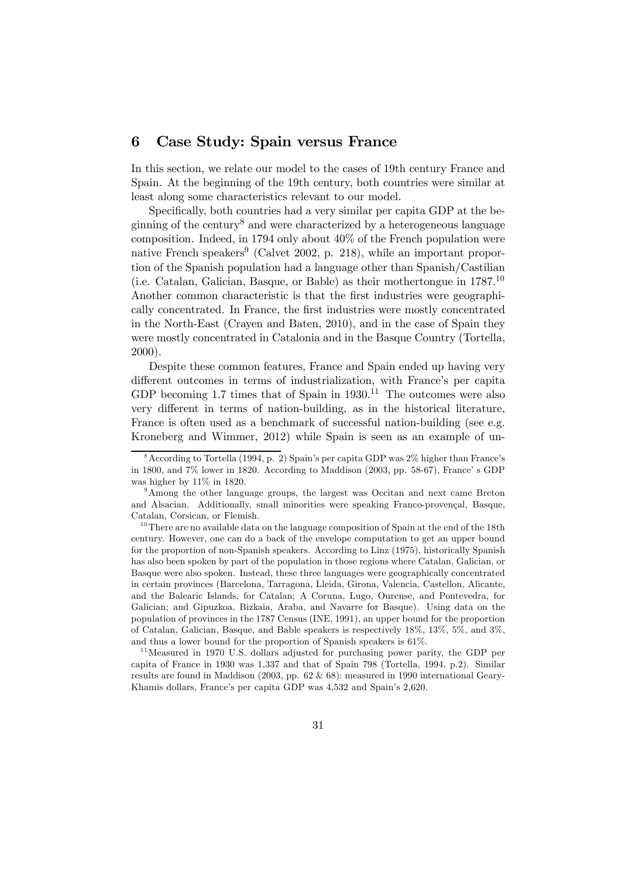## 6 Case Study: Spain versus France

In this section, we relate our model to the cases of 19th century France and Spain. At the beginning of the 19th century, both countries were similar at least along some characteristics relevant to our model.

Specifically, both countries had a very similar per capita GDP at the beginning of the century<sup>8</sup> and were characterized by a heterogeneous language composition. Indeed, in 1794 only about 40% of the French population were native French speakers<sup>9</sup> (Calvet 2002, p. 218), while an important proportion of the Spanish population had a language other than Spanish/Castilian (i.e. Catalan, Galician, Basque, or Bable) as their mothertongue in 1787.10 Another common characteristic is that the first industries were geographically concentrated. In France, the first industries were mostly concentrated in the North-East (Crayen and Baten, 2010), and in the case of Spain they were mostly concentrated in Catalonia and in the Basque Country (Tortella, 2000).

Despite these common features, France and Spain ended up having very different outcomes in terms of industrialization, with France's per capita GDP becoming 1.7 times that of Spain in  $1930<sup>11</sup>$  The outcomes were also very different in terms of nation-building, as in the historical literature, France is often used as a benchmark of successful nation-building (see e.g. Kroneberg and Wimmer, 2012) while Spain is seen as an example of un-

<sup>11</sup> Measured in 1970 U.S. dollars adjusted for purchasing power parity, the GDP per capita of France in 1930 was 1,337 and that of Spain 798 (Tortella, 1994, p.2). Similar results are found in Maddison (2003, pp. 62 & 68): measured in 1990 international Geary-Khamis dollars, France's per capita GDP was 4,532 and Spain's 2,620.

<sup>8</sup>According to Tortella (1994, p. 2) Spain's per capita GDP was 2% higher than France's in 1800, and 7% lower in 1820. According to Maddison (2003, pp. 58-67), France' s GDP was higher by 11% in 1820.

<sup>9</sup>Among the other language groups, the largest was Occitan and next came Breton and Alsacian. Additionally, small minorities were speaking Franco-provençal, Basque, Catalan, Corsican, or Flemish.

<sup>&</sup>lt;sup>10</sup>There are no available data on the language composition of Spain at the end of the 18th century. However, one can do a back of the envelope computation to get an upper bound for the proportion of non-Spanish speakers. According to Linz (1975), historically Spanish has also been spoken by part of the population in those regions where Catalan, Galician, or Basque were also spoken. Instead, these three languages were geographically concentrated in certain provinces (Barcelona, Tarragona, Lleida, Girona, Valencia, Castellon, Alicante, and the Balearic Islands, for Catalan; A Coruna, Lugo, Ourense, and Pontevedra, for Galician; and Gipuzkoa, Bizkaia, Araba, and Navarre for Basque). Using data on the population of provinces in the 1787 Census (INE, 1991), an upper bound for the proportion of Catalan, Galician, Basque, and Bable speakers is respectively 18%, 13%, 5%, and 3%, and thus a lower bound for the proportion of Spanish speakers is 61%.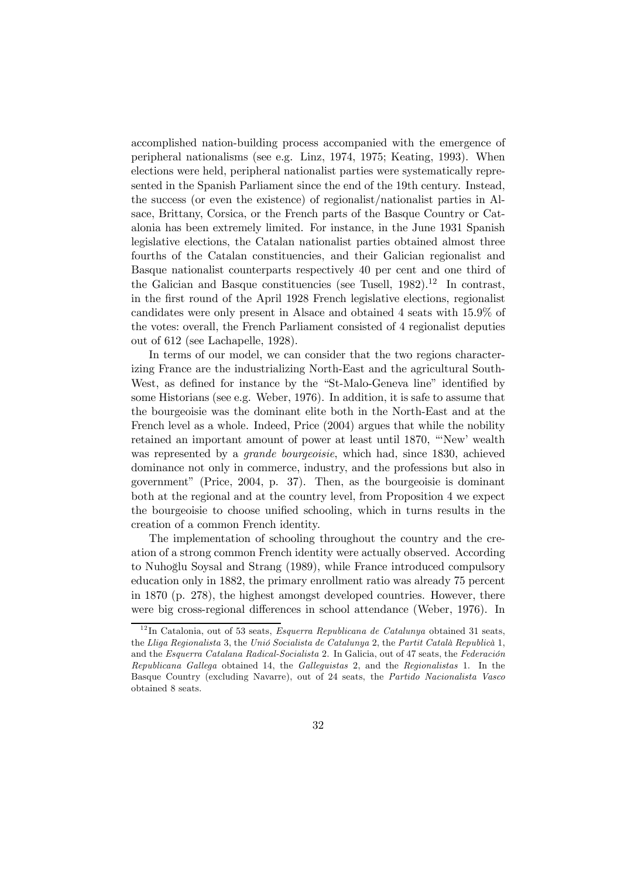accomplished nation-building process accompanied with the emergence of peripheral nationalisms (see e.g. Linz, 1974, 1975; Keating, 1993). When elections were held, peripheral nationalist parties were systematically represented in the Spanish Parliament since the end of the 19th century. Instead, the success (or even the existence) of regionalist/nationalist parties in Alsace, Brittany, Corsica, or the French parts of the Basque Country or Catalonia has been extremely limited. For instance, in the June 1931 Spanish legislative elections, the Catalan nationalist parties obtained almost three fourths of the Catalan constituencies, and their Galician regionalist and Basque nationalist counterparts respectively 40 per cent and one third of the Galician and Basque constituencies (see Tusell,  $1982$ ).<sup>12</sup> In contrast, in the first round of the April 1928 French legislative elections, regionalist candidates were only present in Alsace and obtained 4 seats with 15.9% of the votes: overall, the French Parliament consisted of 4 regionalist deputies out of 612 (see Lachapelle, 1928).

In terms of our model, we can consider that the two regions characterizing France are the industrializing North-East and the agricultural South-West, as defined for instance by the "St-Malo-Geneva line" identified by some Historians (see e.g. Weber, 1976). In addition, it is safe to assume that the bourgeoisie was the dominant elite both in the North-East and at the French level as a whole. Indeed, Price (2004) argues that while the nobility retained an important amount of power at least until 1870, "'New' wealth was represented by a *grande bourgeoisie*, which had, since 1830, achieved dominance not only in commerce, industry, and the professions but also in government" (Price, 2004, p. 37). Then, as the bourgeoisie is dominant both at the regional and at the country level, from Proposition 4 we expect the bourgeoisie to choose unified schooling, which in turns results in the creation of a common French identity.

The implementation of schooling throughout the country and the creation of a strong common French identity were actually observed. According to Nuhoglu Soysal and Strang (1989), while France introduced compulsory ˘ education only in 1882, the primary enrollment ratio was already 75 percent in 1870 (p. 278), the highest amongst developed countries. However, there were big cross-regional differences in school attendance (Weber, 1976). In

 $12$ In Catalonia, out of 53 seats, *Esquerra Republicana de Catalunya* obtained 31 seats, the Lliga Regionalista 3, the Unió Socialista de Catalunya 2, the Partit Català Republicà 1, and the Esquerra Catalana Radical-Socialista 2. In Galicia, out of 47 seats, the Federación Republicana Gallega obtained 14, the Galleguistas 2, and the Regionalistas 1. In the Basque Country (excluding Navarre), out of 24 seats, the Partido Nacionalista Vasco obtained 8 seats.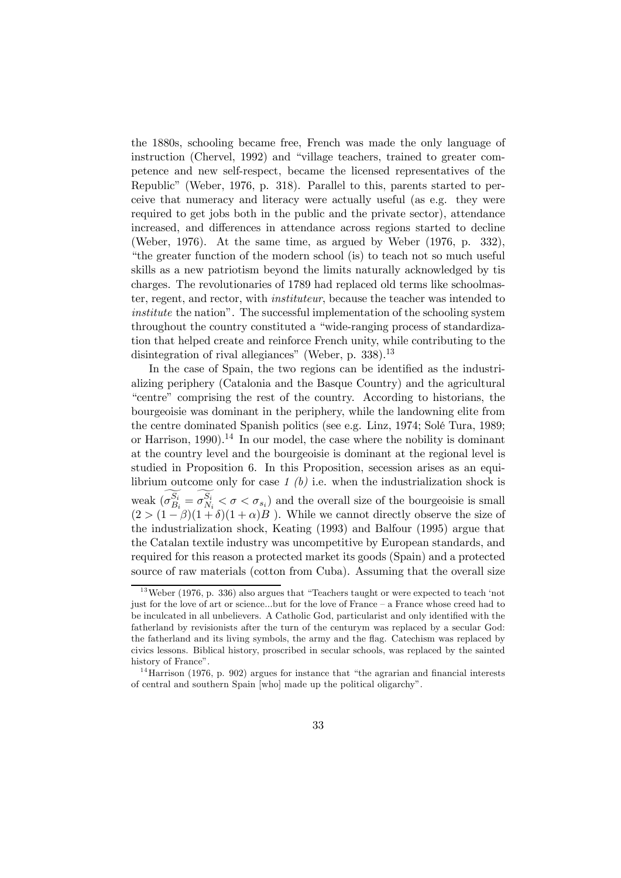the 1880s, schooling became free, French was made the only language of instruction (Chervel, 1992) and "village teachers, trained to greater competence and new self-respect, became the licensed representatives of the Republic" (Weber, 1976, p. 318). Parallel to this, parents started to perceive that numeracy and literacy were actually useful (as e.g. they were required to get jobs both in the public and the private sector), attendance increased, and differences in attendance across regions started to decline (Weber, 1976). At the same time, as argued by Weber (1976, p. 332), "the greater function of the modern school (is) to teach not so much useful skills as a new patriotism beyond the limits naturally acknowledged by tis charges. The revolutionaries of 1789 had replaced old terms like schoolmaster, regent, and rector, with instituteur, because the teacher was intended to institute the nation". The successful implementation of the schooling system throughout the country constituted a "wide-ranging process of standardization that helped create and reinforce French unity, while contributing to the disintegration of rival allegiances" (Weber, p. 338).<sup>13</sup>

In the case of Spain, the two regions can be identified as the industrializing periphery (Catalonia and the Basque Country) and the agricultural "centre" comprising the rest of the country. According to historians, the bourgeoisie was dominant in the periphery, while the landowning elite from the centre dominated Spanish politics (see e.g. Linz, 1974; Solé Tura, 1989; or Harrison, 1990).<sup>14</sup> In our model, the case where the nobility is dominant at the country level and the bourgeoisie is dominant at the regional level is studied in Proposition 6. In this Proposition, secession arises as an equilibrium outcome only for case  $1$  (b) i.e. when the industrialization shock is weak  $(\sigma_{B_i}^{S_i} = \sigma_{N_i}^{S_i} < \sigma < \sigma_{s_i})$  and the overall size of the bourgeoisie is small  $(2 > (1 - \beta)(1 + \delta)(1 + \alpha)B)$ . While we cannot directly observe the size of the industrialization shock, Keating (1993) and Balfour (1995) argue that the Catalan textile industry was uncompetitive by European standards, and required for this reason a protected market its goods (Spain) and a protected source of raw materials (cotton from Cuba). Assuming that the overall size

 $13$  Weber (1976, p. 336) also argues that "Teachers taught or were expected to teach 'not just for the love of art or science...but for the love of France — a France whose creed had to be inculcated in all unbelievers. A Catholic God, particularist and only identified with the fatherland by revisionists after the turn of the centurym was replaced by a secular God: the fatherland and its living symbols, the army and the flag. Catechism was replaced by civics lessons. Biblical history, proscribed in secular schools, was replaced by the sainted history of France".

<sup>&</sup>lt;sup>14</sup> Harrison (1976, p. 902) argues for instance that "the agrarian and financial interests of central and southern Spain [who] made up the political oligarchy".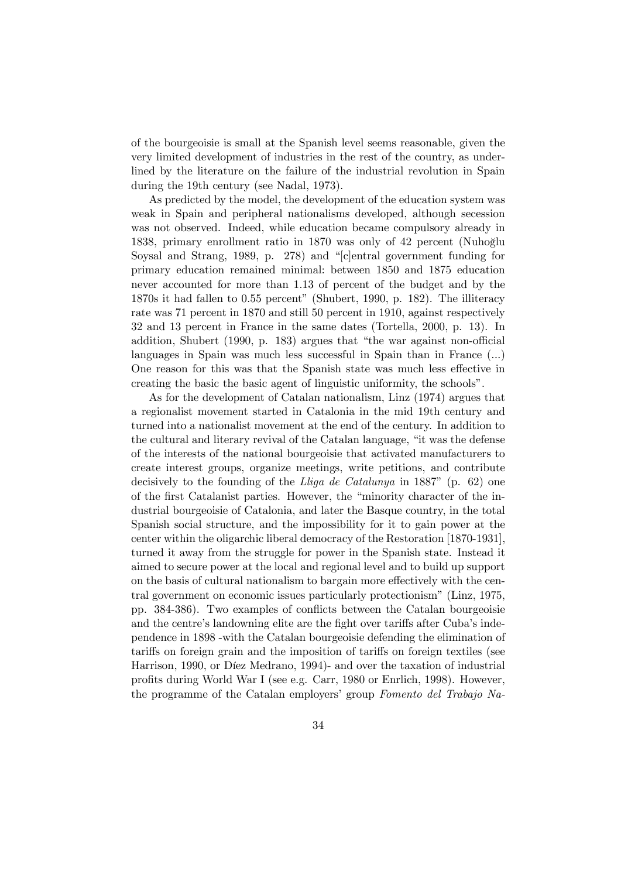of the bourgeoisie is small at the Spanish level seems reasonable, given the very limited development of industries in the rest of the country, as underlined by the literature on the failure of the industrial revolution in Spain during the 19th century (see Nadal, 1973).

As predicted by the model, the development of the education system was weak in Spain and peripheral nationalisms developed, although secession was not observed. Indeed, while education became compulsory already in 1838, primary enrollment ratio in 1870 was only of 42 percent (Nuhoğlu Soysal and Strang, 1989, p. 278) and "[c]entral government funding for primary education remained minimal: between 1850 and 1875 education never accounted for more than 1.13 of percent of the budget and by the 1870s it had fallen to 0.55 percent" (Shubert, 1990, p. 182). The illiteracy rate was 71 percent in 1870 and still 50 percent in 1910, against respectively 32 and 13 percent in France in the same dates (Tortella, 2000, p. 13). In addition, Shubert (1990, p. 183) argues that "the war against non-official languages in Spain was much less successful in Spain than in France (...) One reason for this was that the Spanish state was much less effective in creating the basic the basic agent of linguistic uniformity, the schools".

As for the development of Catalan nationalism, Linz (1974) argues that a regionalist movement started in Catalonia in the mid 19th century and turned into a nationalist movement at the end of the century. In addition to the cultural and literary revival of the Catalan language, "it was the defense of the interests of the national bourgeoisie that activated manufacturers to create interest groups, organize meetings, write petitions, and contribute decisively to the founding of the Lliga de Catalunya in 1887" (p. 62) one of the first Catalanist parties. However, the "minority character of the industrial bourgeoisie of Catalonia, and later the Basque country, in the total Spanish social structure, and the impossibility for it to gain power at the center within the oligarchic liberal democracy of the Restoration [1870-1931], turned it away from the struggle for power in the Spanish state. Instead it aimed to secure power at the local and regional level and to build up support on the basis of cultural nationalism to bargain more effectively with the central government on economic issues particularly protectionism" (Linz, 1975, pp. 384-386). Two examples of conflicts between the Catalan bourgeoisie and the centre's landowning elite are the fight over tariffs after Cuba's independence in 1898 -with the Catalan bourgeoisie defending the elimination of tariffs on foreign grain and the imposition of tariffs on foreign textiles (see Harrison, 1990, or Díez Medrano, 1994)- and over the taxation of industrial profits during World War I (see e.g. Carr, 1980 or Enrlich, 1998). However, the programme of the Catalan employers' group Fomento del Trabajo Na-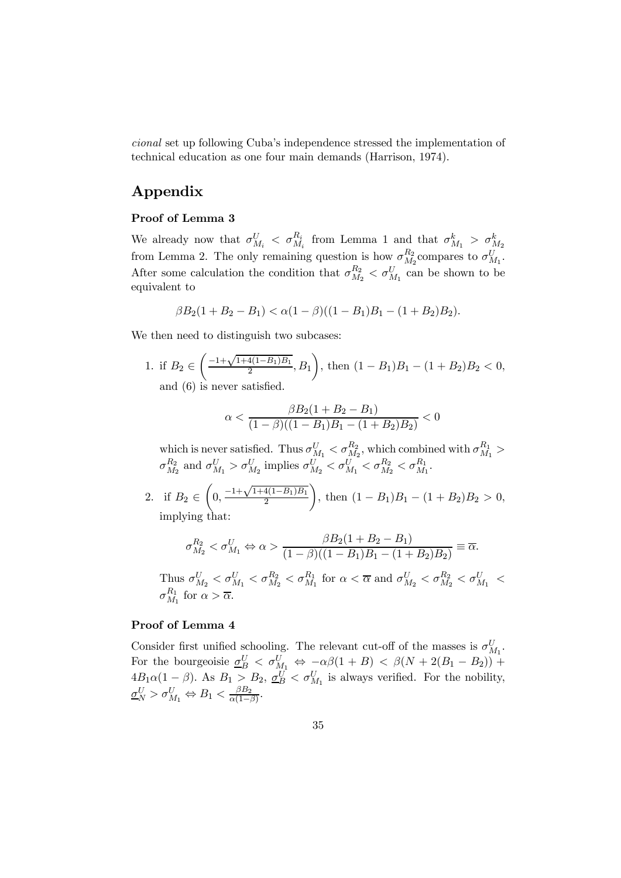cional set up following Cuba's independence stressed the implementation of technical education as one four main demands (Harrison, 1974).

# Appendix

#### Proof of Lemma 3

We already now that  $\sigma_{M_i}^U$  <  $\sigma_{M_i}^{R_i}$  from Lemma 1 and that  $\sigma_{M_1}^k > \sigma_{M_2}^k$ from Lemma 2. The only remaining question is how  $\sigma_{M_2}^{R_2}$  compares to  $\sigma_{M_1}^U$ . After some calculation the condition that  $\sigma_{M_2}^{R_2} < \sigma_{M_1}^U$  can be shown to be equivalent to

$$
\beta B_2(1 + B_2 - B_1) < \alpha (1 - \beta)((1 - B_1)B_1 - (1 + B_2)B_2).
$$

We then need to distinguish two subcases:

1. if 
$$
B_2 \in \left(\frac{-1+\sqrt{1+4(1-B_1)B_1}}{2}, B_1\right)
$$
, then  $(1 - B_1)B_1 - (1 + B_2)B_2 < 0$ , and (6) is never satisfied.

$$
\alpha < \frac{\beta B_2 (1 + B_2 - B_1)}{(1 - \beta)((1 - B_1)B_1 - (1 + B_2)B_2)} < 0
$$

which is never satisfied. Thus  $\sigma_{M_1}^U < \sigma_{M_2}^{R_2}$ , which combined with  $\sigma_{M_1}^{R_1} >$  $\sigma_{M_2}^{R_2}$  and  $\sigma_{M_1}^{U} > \sigma_{M_2}^{U}$  implies  $\sigma_{M_2}^{U} < \sigma_{M_1}^{U} < \sigma_{M_2}^{R_2} < \sigma_{M_1}^{R_1}$ .

2. if 
$$
B_2 \in \left(0, \frac{-1+\sqrt{1+4(1-B_1)B_1}}{2}\right)
$$
, then  $(1 - B_1)B_1 - (1 + B_2)B_2 > 0$ , implying that:

$$
\sigma_{M_2}^{R_2} < \sigma_{M_1}^U \Leftrightarrow \alpha > \frac{\beta B_2 (1 + B_2 - B_1)}{(1 - \beta)((1 - B_1)B_1 - (1 + B_2)B_2)} \equiv \overline{\alpha}.
$$

Thus  $\sigma_{M_2}^U < \sigma_{M_1}^{U} < \sigma_{M_2}^{R_2} < \sigma_{M_1}^{R_1}$  for  $\alpha < \overline{\alpha}$  and  $\sigma_{M_2}^U < \sigma_{M_2}^{R_2} < \sigma_{M_1}^U <$  $\sigma_{M_1}^{R_1}$  for  $\alpha > \overline{\alpha}$ .

## Proof of Lemma 4

Consider first unified schooling. The relevant cut-off of the masses is  $\sigma_{M_1}^U$ . For the bourgeoisie  $\underline{\sigma}_{B}^{U} < \sigma_{M_1}^{U} \Leftrightarrow -\alpha\beta(1+B) < \beta(N+2(B_1-B_2))$  +  $4B_1\alpha(1-\beta)$ . As  $B_1 > B_2$ ,  $\underline{\sigma}_B^U < \sigma_{M_1}^U$  is always verified. For the nobility,  $\underline{\sigma}_N^U > \sigma_{M_1}^U \Leftrightarrow B_1 < \frac{\beta B_2}{\alpha(1-\beta)}.$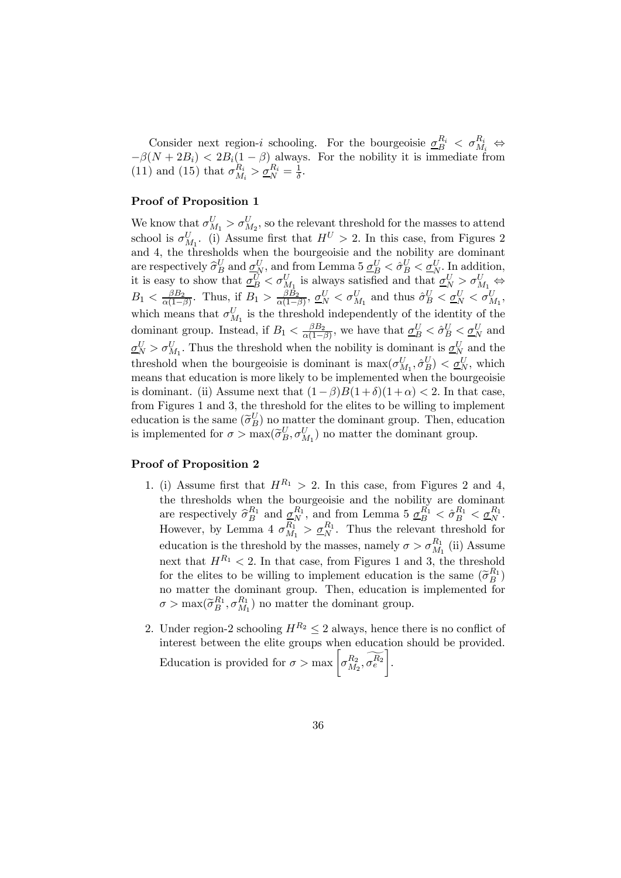Consider next region-*i* schooling. For the bourgeoisie  $\underline{\sigma}_{B}^{R_i} < \sigma_{M_i}^{R_i} \Leftrightarrow$  $-\beta(N+2B_i) < 2B_i(1-\beta)$  always. For the nobility it is immediate from (11) and (15) that  $\sigma_{M_i}^{R_i} > \underline{\sigma}_N^{R_i} = \frac{1}{\delta}$ .

#### Proof of Proposition 1

We know that  $\sigma_{M_1}^U > \sigma_{M_2}^U$ , so the relevant threshold for the masses to attend school is  $\sigma_{M_1}^U$ . (i) Assume first that  $H^U > 2$ . In this case, from Figures 2 and 4, the thresholds when the bourgeoisie and the nobility are dominant are respectively  $\widehat{\sigma}_{B}^{U}$  and  $\underline{\sigma}_{N}^{U}$ , and from Lemma 5  $\underline{\sigma}_{B}^{U} < \widehat{\sigma}_{B}^{U} < \underline{\sigma}_{N}^{U}$ . In addition, it is easy to show that  $\underline{\sigma}_{B}^{U} < \sigma_{M_1}^{U}$  is always satisfied and that  $\underline{\sigma}_{N}^{U} > \sigma_{M_1}^{U}$  $B_1 \langle \frac{\beta B_2}{\alpha(1-\beta)} \rangle$ . Thus, if  $B_1 > \frac{\beta B_2}{\alpha(1-\beta)}$ ,  $\underline{\sigma}_N^U \langle \sigma_{M_1}^U$  and thus  $\hat{\sigma}_B^U \langle \underline{\sigma}_N^U \langle \sigma_{M_1}^U, \sigma_{M_1}^U \rangle$ which means that  $\sigma_{M_1}^U$  is the threshold independently of the identity of the dominant group. Instead, if  $B_1 < \frac{\beta B_2}{\alpha(1-\beta)}$ , we have that  $\underline{\sigma}_B^U < \hat{\sigma}_B^U < \underline{\sigma}_N^U$  and  $\underline{\sigma}_N^U > \sigma_{M_1}^U$ . Thus the threshold when the nobility is dominant is  $\underline{\sigma}_N^U$  and the threshold when the bourgeoisie is dominant is  $\max(\sigma_{M_1}^U, \hat{\sigma}_B^U) < \underline{\sigma}_N^U$ , which means that education is more likely to be implemented when the bourgeoisie is dominant. (ii) Assume next that  $(1 - \beta)B(1 + \delta)(1 + \alpha) < 2$ . In that case, from Figures 1 and 3, the threshold for the elites to be willing to implement education is the same  $(\widetilde{\sigma}_B^U)$  no matter the dominant group. Then, education is implemented for  $\sigma > \max(\tilde{\sigma}_{B}^{U}, \sigma_{M_1}^{U})$  no matter the dominant group.

### Proof of Proposition 2

- 1. (i) Assume first that  $H^{R_1} > 2$ . In this case, from Figures 2 and 4, the thresholds when the bourgeoisie and the nobility are dominant are respectively  $\widehat{\sigma}_{B}^{R_1}$  and  $\underline{\sigma}_{N}^{R_1}$ , and from Lemma 5  $\underline{\sigma}_{B}^{R_1} < \widehat{\sigma}_{B}^{R_1} < \underline{\sigma}_{N}^{R_1}$ . However, by Lemma 4  $\sigma_{M_1}^{R_1} > \underline{\sigma}_N^{R_1}$ . Thus the relevant threshold for education is the threshold by the masses, namely  $\sigma > \sigma_{M_1}^{R_1}$  (ii) Assume next that  $H^{R_1}$  < 2. In that case, from Figures 1 and 3, the threshold for the elites to be willing to implement education is the same  $(\tilde{\sigma}_{B}^{R_1})$ no matter the dominant group. Then, education is implemented for  $\sigma > \max(\tilde{\sigma}_{B}^{R_1}, \sigma_{M_1}^{R_1})$  no matter the dominant group.
- 2. Under region-2 schooling  $H^{R_2} \leq 2$  always, hence there is no conflict of interest between the elite groups when education should be provided. Education is provided for  $\sigma > \max \left[ \sigma_{M_2}^{R_2}, \widetilde{\sigma_e^{R_2}} \right]$ .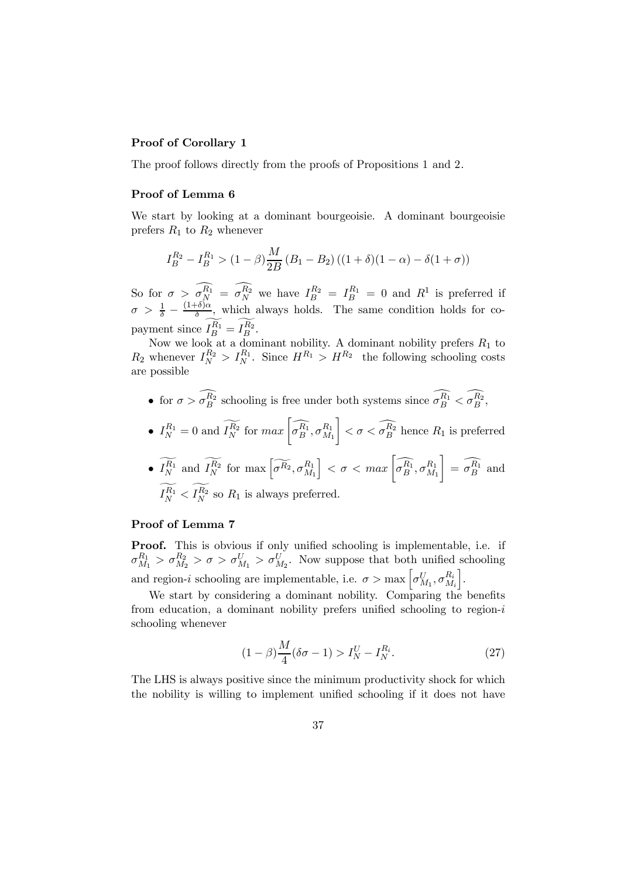## Proof of Corollary 1

The proof follows directly from the proofs of Propositions 1 and 2.

### Proof of Lemma 6

We start by looking at a dominant bourgeoisie. A dominant bourgeoisie prefers  $R_1$  to  $R_2$  whenever

$$
I_B^{R_2} - I_B^{R_1} > (1 - \beta) \frac{M}{2B} (B_1 - B_2) ((1 + \delta)(1 - \alpha) - \delta(1 + \sigma))
$$

So for  $\sigma > \sigma_N^{R_1} = \sigma_N^{R_2}$  we have  $I_B^{R_2} = I_B^{R_1} = 0$  and  $R^1$  is preferred if  $\sigma > \frac{1}{\delta} - \frac{(1+\delta)\alpha}{\delta}$ , which always holds. The same condition holds for copayment since  $I_B^{R_1} = I_B^{R_2}$ .

Now we look at a dominant nobility. A dominant nobility prefers  $R_1$  to  $R_2$  whenever  $I_N^{R_2} > I_N^{R_1}$ . Since  $H^{R_1} > H^{R_2}$  the following schooling costs are possible

• for  $\sigma > \sigma_B^{R_2}$  schooling is free under both systems since  $\sigma_B^{R_1} < \sigma_B^{R_2}$ ,

• 
$$
I_N^{R_1} = 0
$$
 and  $\widetilde{I_N^{R_2}}$  for  $max\left[\widehat{\sigma_B^{R_1}}, \sigma_{M_1}^{R_1}\right] < \sigma < \widehat{\sigma_B^{R_2}}$  hence  $R_1$  is preferred

• 
$$
\widetilde{I_N^{R_1}}
$$
 and  $\widetilde{I_N^{R_2}}$  for  $\max\left[\widetilde{\sigma^{R_2}}, \sigma^{R_1}_{M_1}\right] < \sigma < \max\left[\widehat{\sigma^{R_1}}_B, \sigma^{R_1}_{M_1}\right] = \widehat{\sigma^{R_1}_B}$  and  $\widetilde{I_N^{R_1}} < \widetilde{I_N^{R_2}}$  so  $R_1$  is always preferred.

#### Proof of Lemma 7

Proof. This is obvious if only unified schooling is implementable, i.e. if  $\sigma_{M_1}^{R_1} > \sigma_{M_2}^{R_2} > \sigma > \sigma_{M_1}^U > \sigma_{M_2}^U$ . Now suppose that both unified schooling and region-*i* schooling are implementable, i.e.  $\sigma > \max \left[ \sigma_{M_1}^U, \sigma_{M_i}^{R_i} \right]$ i .

We start by considering a dominant nobility. Comparing the benefits from education, a dominant nobility prefers unified schooling to region- $i$ schooling whenever

$$
(1 - \beta) \frac{M}{4} (\delta \sigma - 1) > I_N^U - I_N^{R_i}.
$$
 (27)

The LHS is always positive since the minimum productivity shock for which the nobility is willing to implement unified schooling if it does not have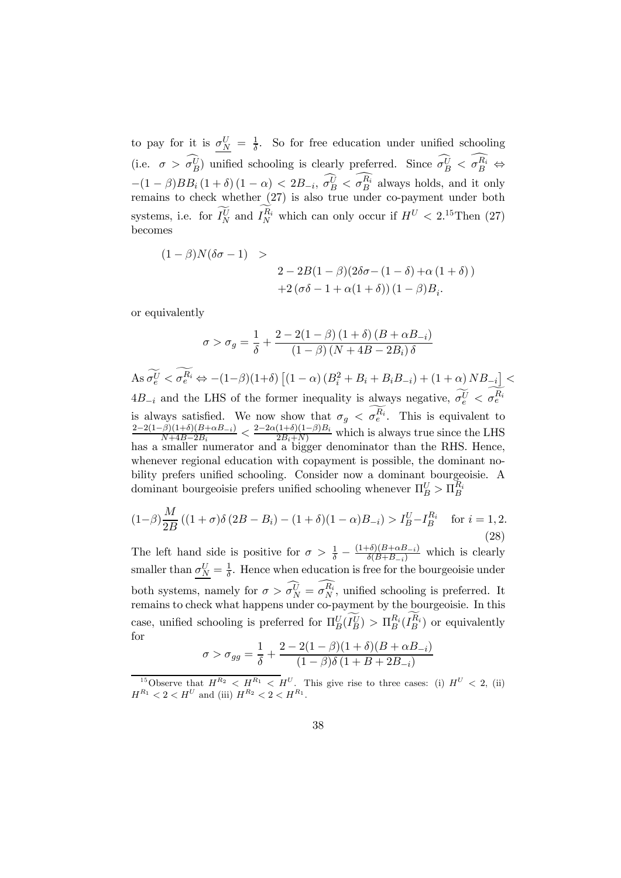to pay for it is  $\sigma_N^U = \frac{1}{\delta}$ . So for free education under unified schooling (i.e.  $\sigma > \sigma_B^U$ ) unified schooling is clearly preferred. Since  $\sigma_B^U < \sigma_B^{R_i} \Leftrightarrow$  $-(1 - \beta)BB_i(1 + \delta)(1 - \alpha) < 2B_{-i}, \sigma_B^{\tilde{U}} < \sigma_B^{R_i}$  always holds, and it only remains to check whether (27) is also true under co-payment under both systems, i.e. for  $I_N^U$  and  $I_N^{R_i}$  which can only occur if  $H^U < 2.15$  Then (27) becomes

$$
(1 - \beta)N(\delta\sigma - 1) >
$$
  
2 - 2B(1 - \beta)(2\delta\sigma - (1 - \delta) + \alpha(1 + \delta))  
+2(\sigma\delta - 1 + \alpha(1 + \delta))(1 - \beta)B\_i.

or equivalently

$$
\sigma > \sigma_g = \frac{1}{\delta} + \frac{2 - 2(1 - \beta)(1 + \delta)(B + \alpha B_{-i})}{(1 - \beta)(N + 4B - 2B_i)\delta}
$$

 $\text{As }\sigma_e^U < \sigma_e^{R_i} \Leftrightarrow -(1-\beta)(1+\delta) \left[ (1-\alpha)\left(B_i^2+B_i+B_iB_{-i}\right) + (1+\alpha)NB_{-i} \right] <$  $4B_{-i}$  and the LHS of the former inequality is always negative,  $\sigma_e^U < \sigma_e^{R_i}$ is always satisfied. We now show that  $\sigma_g < \sigma_e^{R_i}$ . This is equivalent to  $\frac{2-2(1-\beta)(1+\delta)(B+\alpha B_{-i})}{N+4B-2B_i} < \frac{2-2\alpha(1+\delta)(1-\beta)B_i}{2B_i+N}$  which is always true since the LHS has a smaller numerator and a bigger denominator than the RHS. Hence, whenever regional education with copayment is possible, the dominant nobility prefers unified schooling. Consider now a dominant bourgeoisie. A dominant bourgeoisie prefers unified schooling whenever  $\Pi_B^U > \Pi_B^{R_i}$ 

$$
(1-\beta)\frac{M}{2B}((1+\sigma)\delta(2B-B_i) - (1+\delta)(1-\alpha)B_{-i}) > I_B^U - I_B^{R_i} \quad \text{for } i = 1, 2.
$$
\n(28)

The left hand side is positive for  $\sigma > \frac{1}{\delta} - \frac{(1+\delta)(B+\alpha B_{-i})}{\delta(B+B_{-i})}$  which is clearly smaller than  $\sigma_N^U = \frac{1}{\delta}$ . Hence when education is free for the bourgeoisie under both systems, namely for  $\sigma > \sigma_N^U = \sigma_N^{R_i}$ , unified schooling is preferred. It remains to check what happens under co-payment by the bourgeoisie. In this case, unified schooling is preferred for  $\Pi_B^U(I_B^U) > \Pi_B^{R_i}(I_B^{R_i})$  or equivalently for

$$
\sigma > \sigma_{gg} = \frac{1}{\delta} + \frac{2 - 2(1 - \beta)(1 + \delta)(B + \alpha B_{-i})}{(1 - \beta)\delta(1 + B + 2B_{-i})}
$$

<sup>15</sup>Observe that  $H^{R_2} < H^{R_1} < H^U$ . This give rise to three cases: (i)  $H^U < 2$ , (ii)  $H^{R_1} < 2 < H^{U}$  and (iii)  $H^{R_2} < 2 < H^{R_1}$ .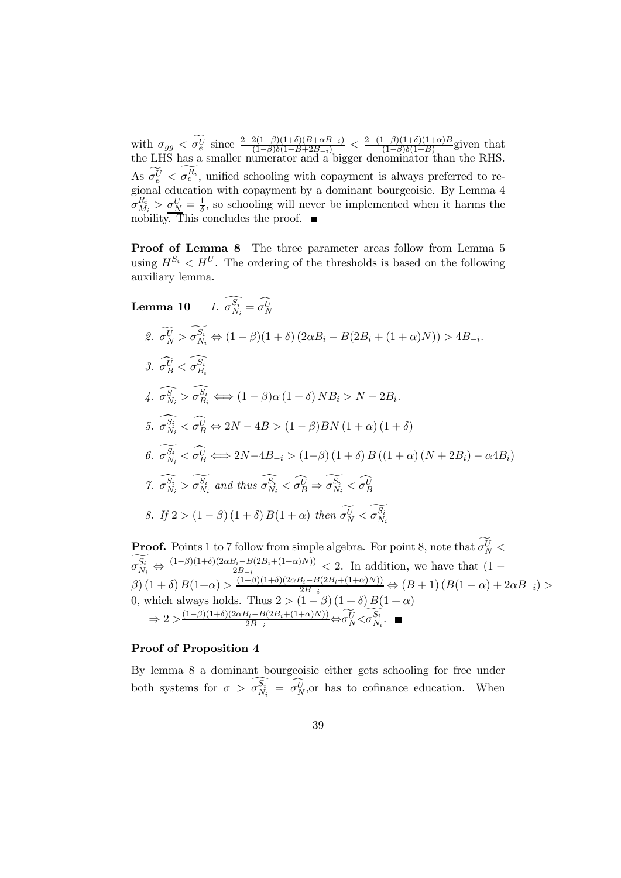with  $\sigma_{gg} < \tilde{\sigma}_e^U$  since  $\frac{2-2(1-\beta)(1+\delta)(B+\alpha B_{-i})}{(1-\beta)\delta(1+B+2B_{-i})} < \frac{2-(1-\beta)(1+\delta)(1+\alpha)B}{(1-\beta)\delta(1+B)}$  given that the LHS has a smaller numerator and a bigger denominator than the RHS. As  $\sigma_e^{\tilde{U}} < \sigma_e^{R_i}$ , unified schooling with copayment is always preferred to regional education with copayment by a dominant bourgeoisie. By Lemma 4  $\sigma_{M_i}^{R_i} > \sigma_{N}^{U} = \frac{1}{\delta}$ , so schooling will never be implemented when it harms the nobility. This concludes the proof.  $\blacksquare$ 

Proof of Lemma 8 The three parameter areas follow from Lemma 5 using  $H^{S_i} < H^U$ . The ordering of the thresholds is based on the following auxiliary lemma.

Lemma 10 1. 
$$
\widehat{\sigma}_{N_i}^{\widehat{S_i}} = \widehat{\sigma}_{N}^{\widehat{U}}
$$
  
\n2.  $\widetilde{\sigma}_{N}^{\widetilde{U}} > \widetilde{\sigma}_{N_i}^{\widetilde{S_i}} \Leftrightarrow (1 - \beta)(1 + \delta) (2\alpha B_i - B(2B_i + (1 + \alpha)N)) > 4B_{-i}.$   
\n3.  $\widehat{\sigma}_{B}^{\widetilde{U}} < \widehat{\sigma}_{B_i}^{\widehat{S_i}}$   
\n4.  $\widehat{\sigma}_{N_i}^{\widehat{S}} > \widehat{\sigma}_{B_i}^{\widehat{S_i}} \Leftrightarrow (1 - \beta)\alpha (1 + \delta) NB_i > N - 2B_i.$   
\n5.  $\widehat{\sigma}_{N_i}^{\widehat{S_i}} < \widehat{\sigma}_{B}^{\widetilde{U}} \Leftrightarrow 2N - 4B > (1 - \beta)BN (1 + \alpha) (1 + \delta)$   
\n6.  $\widehat{\sigma}_{N_i}^{\widehat{S_i}} < \widehat{\sigma}_{B}^{\widetilde{U}} \Leftrightarrow 2N - 4B_{-i} > (1 - \beta) (1 + \delta) B ((1 + \alpha) (N + 2B_i) - \alpha 4B_i)$   
\n7.  $\widehat{\sigma}_{N_i}^{\widehat{S_i}} > \widehat{\sigma}_{N_i}^{\widetilde{S_i}}$  and thus  $\widehat{\sigma}_{N_i}^{\widehat{S_i}} < \widehat{\sigma}_{B}^{\widetilde{U}} \Rightarrow \widehat{\sigma}_{N_i}^{\widetilde{S_i}} < \widehat{\sigma}_{B}^{\widetilde{U}}$   
\n8. If  $2 > (1 - \beta) (1 + \delta) B(1 + \alpha)$  then  $\widehat{\sigma}_{N}^{\widetilde{U}} < \widehat{\sigma}_{N_i}^{\widetilde{S_i}}$ 

**Proof.** Points 1 to 7 follow from simple algebra. For point 8, note that  $\sigma_N^U$  $\sigma_{N_i}^{S_i} \Leftrightarrow \frac{(1-\beta)(1+\delta)(2\alpha B_i - B(2B_i + (1+\alpha)N))}{2B_{-i}} < 2$ . In addition, we have that  $(1-\beta)(1+\delta)(2B_i - B(2B_i + (1+\alpha)N))$  $\beta$ )  $(1+\delta) B(1+\alpha) > \frac{(1-\beta)(1+\delta)(2\alpha B_i - B(2B_i + (1+\alpha)N))}{2B_{-i}} \Leftrightarrow (B+1) (B(1-\alpha) + 2\alpha B_{-i}) >$ 0, which always holds. Thus  $2 > (1 - \beta) (1 + \delta) B(1 + \alpha)$  $\Rightarrow 2 > \frac{(1-\beta)(1+\delta)(2\alpha B_i - B(2B_i + (1+\alpha)N))}{2B_{-i}} \Leftrightarrow \sigma_N^U < \sigma_{N_i}^{S_i}.$ 

### Proof of Proposition 4

By lemma 8 a dominant bourgeoisie either gets schooling for free under both systems for  $\sigma > \sigma_{N_i}^{S_i} = \sigma_{N_i}^{U}$ , or has to cofinance education. When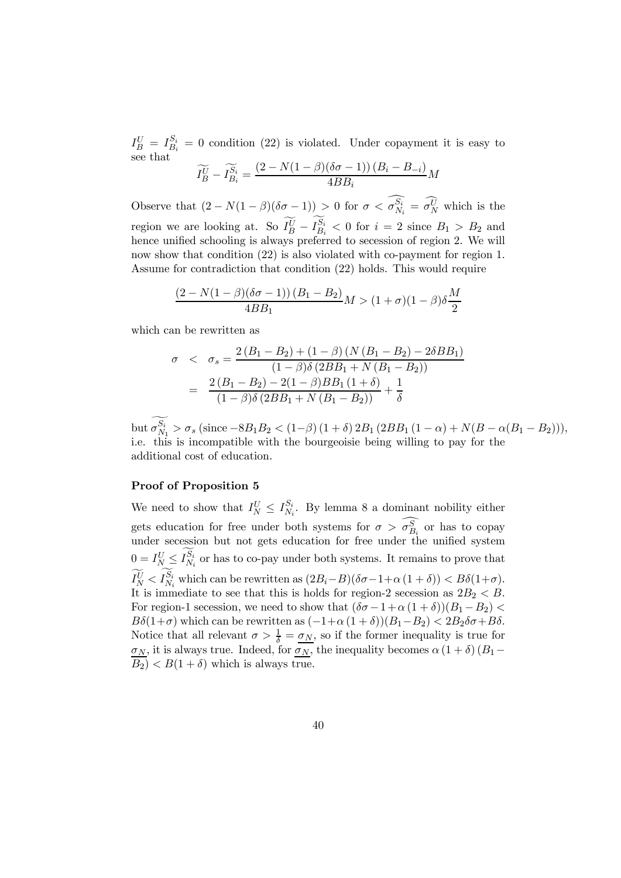$I_B^U = I_{B_i}^{S_i} = 0$  condition (22) is violated. Under copayment it is easy to see that

$$
\widetilde{I_B^U} - \widetilde{I_{B_i}^{S_i}} = \frac{(2 - N(1 - \beta)(\delta \sigma - 1)) (B_i - B_{-i})}{4BB_i} M
$$

Observe that  $(2 - N(1 - \beta)(\delta \sigma - 1)) > 0$  for  $\sigma < \sigma_{N_i}^{S_i} = \sigma_N^U$  which is the region we are looking at. So  $I_B^U - I_{B_i}^{S_i} < 0$  for  $i = 2$  since  $B_1 > B_2$  and hence unified schooling is always preferred to secession of region 2. We will now show that condition (22) is also violated with co-payment for region 1. Assume for contradiction that condition (22) holds. This would require

$$
\frac{(2 - N(1 - \beta)(\delta\sigma - 1)) (B_1 - B_2)}{4BB_1} M > (1 + \sigma)(1 - \beta)\delta \frac{M}{2}
$$

which can be rewritten as

$$
\sigma < \sigma_s = \frac{2\left(B_1 - B_2\right) + \left(1 - \beta\right)\left(N\left(B_1 - B_2\right) - 2\delta B_1\right)}{\left(1 - \beta\right)\delta\left(2BB_1 + N\left(B_1 - B_2\right)\right)}
$$
\n
$$
= \frac{2\left(B_1 - B_2\right) - 2\left(1 - \beta\right)BB_1\left(1 + \delta\right)}{\left(1 - \beta\right)\delta\left(2BB_1 + N\left(B_1 - B_2\right)\right)} + \frac{1}{\delta}
$$

but  $\sigma_{N_1}^{S_i} > \sigma_s$  (since  $-8B_1B_2 < (1-\beta)(1+\delta) 2B_1 (2BB_1 (1-\alpha) + N(B-\alpha(B_1 - B_2))),$ i.e. this is incompatible with the bourgeoisie being willing to pay for the additional cost of education.

#### Proof of Proposition 5

We need to show that  $I_N^U \leq I_{N_i}^{S_i}$ . By lemma 8 a dominant nobility either gets education for free under both systems for  $\sigma > \sigma_{B_i}^S$  or has to copay under secession but not gets education for free under the unified system  $0 = I_{N}^U \leq I_{N_i}^{S_i}$  or has to co-pay under both systems. It remains to prove that  $I_N^U < I_{N_i}^{S_i}$  which can be rewritten as  $(2B_i - B)(\delta \sigma - 1 + \alpha (1 + \delta)) < B\delta(1 + \sigma)$ . It is immediate to see that this is holds for region-2 secession as  $2B_2 < B$ . For region-1 secession, we need to show that  $(\delta \sigma - 1 + \alpha (1 + \delta))(B_1 - B_2)$  $B\delta(1+\sigma)$  which can be rewritten as  $(-1+\alpha(1+\delta))(B_1-B_2) < 2B_2\delta\sigma + B\delta$ . Notice that all relevant  $\sigma > \frac{1}{\delta} = \underline{\sigma_N}$ , so if the former inequality is true for  $\sigma_N$ , it is always true. Indeed, for  $\overline{\sigma_N}$ , the inequality becomes  $\alpha(1+\delta)(B_1-\delta)$  $(B_2) < B(1 + \delta)$  which is always true.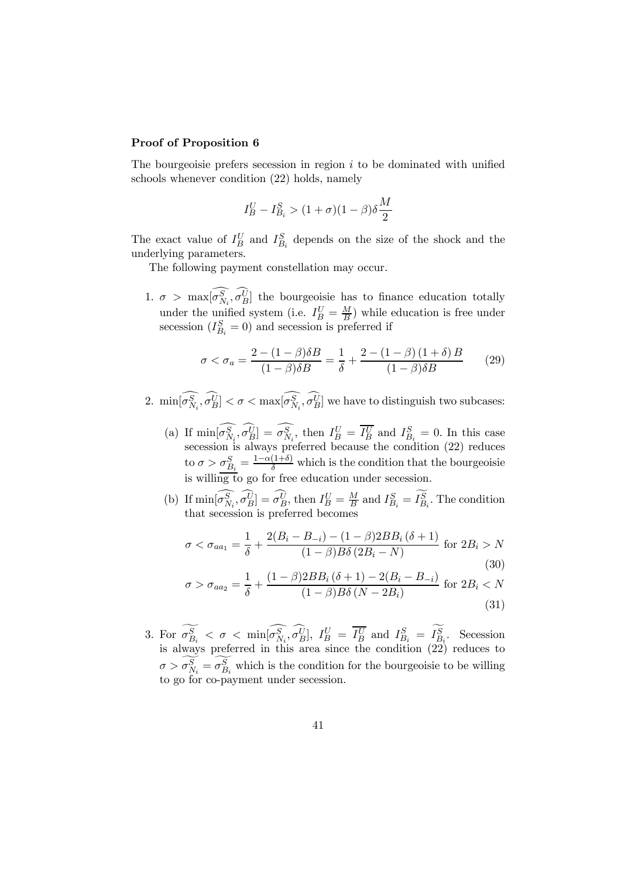#### Proof of Proposition 6

The bourgeoisie prefers secession in region  $i$  to be dominated with unified schools whenever condition (22) holds, namely

$$
I_B^U - I_{B_i}^S > (1 + \sigma)(1 - \beta)\delta \frac{M}{2}
$$

The exact value of  $I_B^U$  and  $I_{B_i}^S$  depends on the size of the shock and the underlying parameters.

The following payment constellation may occur.

1.  $\sigma > \max[\sigma_{N_i}^S, \sigma_B^U]$  the bourgeoisie has to finance education totally under the unified system (i.e.  $I_B^U = \frac{M}{B}$ ) while education is free under secession  $(I_{B_i}^S = 0)$  and secession is preferred if

$$
\sigma < \sigma_a = \frac{2 - (1 - \beta)\delta B}{(1 - \beta)\delta B} = \frac{1}{\delta} + \frac{2 - (1 - \beta)(1 + \delta)B}{(1 - \beta)\delta B} \tag{29}
$$

- 2.  $\min[\sigma_{N_i}^S, \sigma_B^U] < \sigma < \max[\sigma_{N_i}^S, \sigma_B^U]$  we have to distinguish two subcases:
	- (a) If  $\min[\sigma_{N_i}^S, \sigma_B^U] = \sigma_{N_i}^S$ , then  $I_B^U = I_B^U$  and  $I_{B_i}^S = 0$ . In this case secession is always preferred because the condition (22) reduces to  $\sigma > \sigma_{B_i}^S = \frac{1-\alpha(1+\delta)}{\delta}$  which is the condition that the bourgeoisie is willing to go for free education under secession.
	- (b) If  $\min[\sigma_{N_i}^S, \sigma_B^U] = \sigma_B^U$ , then  $I_B^U = \frac{M}{B}$  and  $I_{B_i}^S = I_{B_i}^S$ . The condition that secession is preferred becomes

$$
\sigma < \sigma_{aa_1} = \frac{1}{\delta} + \frac{2(B_i - B_{-i}) - (1 - \beta)2BB_i(\delta + 1)}{(1 - \beta)B\delta(2B_i - N)} \text{ for } 2B_i > N \tag{30}
$$

$$
\sigma > \sigma_{aa_2} = \frac{1}{\delta} + \frac{(1-\beta)2BB_i(\delta+1) - 2(B_i - B_{-i})}{(1-\beta)B\delta(N - 2B_i)} \text{ for } 2B_i < N
$$
\n(31)

3. For  $\sigma_{B_i}^S < \sigma < \min[\sigma_{N_i}^S, \sigma_B^U], I_B^U = I_B^U$  and  $I_{B_i}^S = I_{B_i}^S$ . Secession is always preferred in this area since the condition (22) reduces to  $\sigma > \sigma_{N_i}^S = \sigma_{B_i}^S$  which is the condition for the bourgeoisie to be willing to go for co-payment under secession.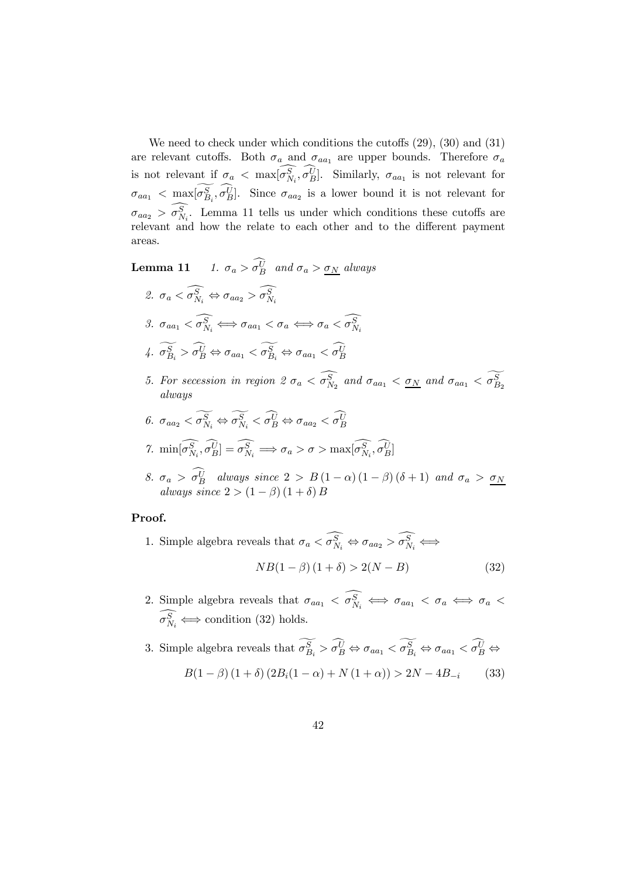We need to check under which conditions the cutoffs  $(29)$ ,  $(30)$  and  $(31)$ are relevant cutoffs. Both  $\sigma_a$  and  $\sigma_{aa_1}$  are upper bounds. Therefore  $\sigma_a$ is not relevant if  $\sigma_a < \max[\sigma_{N_i}^S, \sigma_B^U]$ . Similarly,  $\sigma_{aa_1}$  is not relevant for  $\sigma_{aa_1} < \max[\sigma_{B_i}^S, \sigma_B^U]$ . Since  $\sigma_{aa_2}$  is a lower bound it is not relevant for  $\sigma_{aa_2} > \sigma_{N_i}^S$ . Lemma 11 tells us under which conditions these cutoffs are relevant and how the relate to each other and to the different payment areas.

**Lemma 11** 1.  $\sigma_a > \sigma_B^U$  and  $\sigma_a > \underline{\sigma_N}$  always

- 2.  $\sigma_a < \sigma_{N_i}^S \Leftrightarrow \sigma_{aa_2} > \sigma_{N_i}^S$ 3.  $\sigma_{aa_1} < \sigma_{N_i}^S \Longleftrightarrow \sigma_{aa_1} < \sigma_a \Longleftrightarrow \sigma_a < \sigma_{N_i}^S$ 4.  $\sigma_{B_i}^S > \sigma_B^U \Leftrightarrow \sigma_{aa_1} < \sigma_{B_i}^S \Leftrightarrow \sigma_{aa_1} < \sigma_B^U$
- 5. For secession in region 2  $\sigma_a < \sigma_{N_2}^S$  and  $\sigma_{aa_1} < \underline{\sigma_N}$  and  $\sigma_{aa_1} < \sigma_{B_2}^S$ always
- 6.  $\sigma_{aa_2} < \sigma_{N_i}^S \Leftrightarrow \sigma_{N_i}^S < \sigma_B^U \Leftrightarrow \sigma_{aa_2} < \sigma_B^U$ 7.  $\min[\sigma_{N_i}^S, \sigma_B^U] = \sigma_{N_i}^S \implies \sigma_a > \sigma > \max[\sigma_{N_i}^S, \sigma_B^U]$
- 8.  $\sigma_a > \sigma_B^U$  always since  $2 > B(1-\alpha)(1-\beta)(\delta+1)$  and  $\sigma_a > \sigma_N$ always since  $2 > (1 - \beta) (1 + \delta) B$

#### Proof.

- 1. Simple algebra reveals that  $\sigma_a < \sigma_{N_i}^S \Leftrightarrow \sigma_{aa_2} > \sigma_{N_i}^S \Leftrightarrow$  $NB(1 - \beta) (1 + \delta) > 2(N - B)$  (32)
- 2. Simple algebra reveals that  $\sigma_{aa_1} < \sigma_{N_i}^S \iff \sigma_{aa_1} < \sigma_a \iff \sigma_a <$  $\sigma_{N_i}^S \Longleftrightarrow$  condition (32) holds.

3. Simple algebra reveals that  $\sigma_{B_i}^S > \sigma_B^U \Leftrightarrow \sigma_{aa_1} < \sigma_{B_i}^S \Leftrightarrow \sigma_{aa_1} < \sigma_B^U \Leftrightarrow$  $B(1 - \beta) (1 + \delta) (2B_i(1 - \alpha) + N(1 + \alpha)) > 2N - 4B_{-i}$  (33)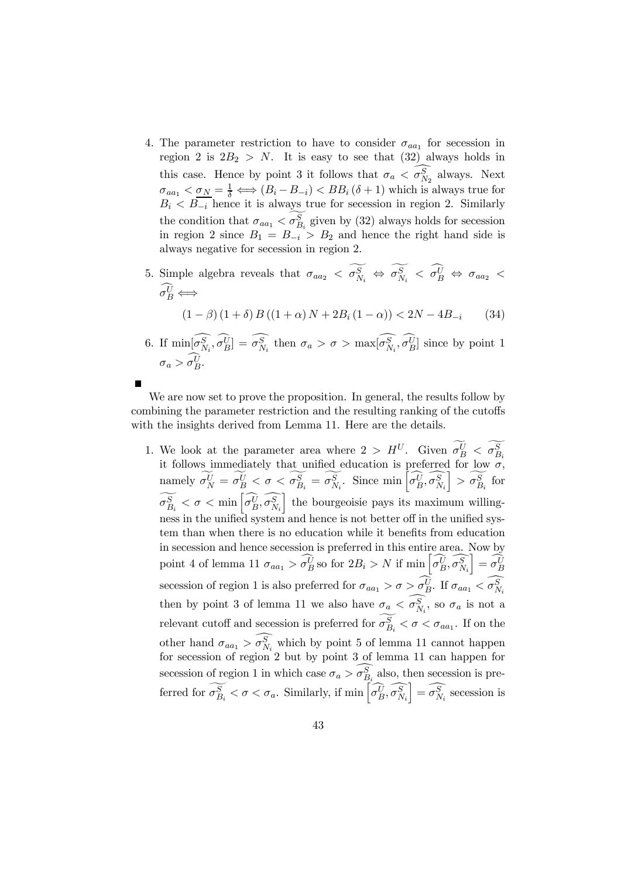- 4. The parameter restriction to have to consider  $\sigma_{aa}$  for secession in region 2 is  $2B_2 > N$ . It is easy to see that (32) always holds in this case. Hence by point 3 it follows that  $\sigma_a < \sigma_{N_2}^S$  always. Next  $\sigma_{aa_1} < \sigma_N = \frac{1}{\delta} \Longleftrightarrow (B_i - B_{-i}) < BB_i (\delta + 1)$  which is always true for  $B_i < B_{-i}$  hence it is always true for secession in region 2. Similarly the condition that  $\sigma_{aa_1} < \sigma_{B_i}^S$  given by (32) always holds for secession in region 2 since  $B_1 = B_{-i} > B_2$  and hence the right hand side is always negative for secession in region 2.
- 5. Simple algebra reveals that  $\sigma_{aa_2} < \sigma_{N_i}^S \Leftrightarrow \sigma_{N_i}^S < \sigma_B^U \Leftrightarrow \sigma_{aa_2} <$  $\sigma_B^U \Longleftrightarrow$

$$
(1 - \beta) (1 + \delta) B ((1 + \alpha) N + 2B_i (1 - \alpha)) < 2N - 4B_{-i}
$$
 (34)

6. If  $\min[\sigma_{N_i}^S, \sigma_B^U] = \sigma_{N_i}^S$  then  $\sigma_a > \sigma > \max[\sigma_{N_i}^S, \sigma_B^U]$  since by point 1  $\sigma_a > \sigma_B^U$ .

We are now set to prove the proposition. In general, the results follow by combining the parameter restriction and the resulting ranking of the cutoffs with the insights derived from Lemma 11. Here are the details.

1. We look at the parameter area where  $2 > H^U$ . Given  $\sigma_B^U < \sigma_{B_i}^S$  it follows immediately that unified education is preferred for low  $\sigma$ , namely  $\widetilde{\sigma_N^U} = \widetilde{\sigma_B^U} < \sigma < \widetilde{\sigma_{B_i}^S} = \widetilde{\sigma_{N_i}^S}$ . Since  $\min \left[ \widehat{\sigma_B^U}, \widehat{\sigma_{N_i}^S} \right]$  $\left[\right] > \widetilde{\sigma_{B_i}^S}$  for  $\widetilde{\sigma_{B_i}^S} < \sigma < \min\left[\widehat{\sigma_{B}^U}, \widehat{\sigma_{N_i}^S}\right]$ the bourgeoisie pays its maximum willingness in the unified system and hence is not better off in the unified system than when there is no education while it benefits from education in secession and hence secession is preferred in this entire area. Now by point 4 of lemma 11  $\sigma_{aa_1} > \widehat{\sigma_B^U}$  so for  $2B_i > N$  if  $\min \left[ \widehat{\sigma_B^U}, \widehat{\sigma_{N_i}^S} \right]$  $\left[\right]=\hat{\sigma_B^U}$ secession of region 1 is also preferred for  $\sigma_{aa_1} > \sigma > \sigma_B^U$ . If  $\sigma_{aa_1} < \sigma_{N_i}^S$ then by point 3 of lemma 11 we also have  $\sigma_a < \sigma_{N_i}^S$ , so  $\sigma_a$  is not a relevant cutoff and secession is preferred for  $\sigma_{B_i}^S < \sigma < \sigma_{aa_1}$ . If on the other hand  $\sigma_{aa_1} > \sigma_{N_i}^S$  which by point 5 of lemma 11 cannot happen for secession of region 2 but by point 3 of lemma 11 can happen for secession of region 1 in which case  $\sigma_a > \sigma_{B_i}^S$  also, then secession is preferred for  $\widetilde{\sigma_{B_i}^S} < \sigma < \sigma_a$ . Similarly, if  $\min \left[ \widehat{\sigma_B^U}, \widehat{\sigma_{N_i}^S} \right]$  $\left] = \widehat{\sigma_{N_i}^S}$  secession is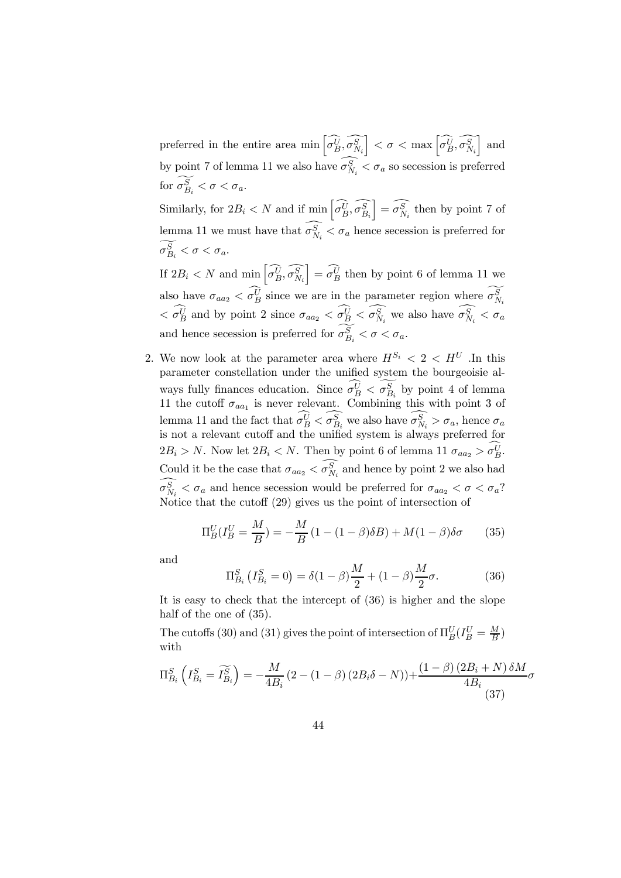preferred in the entire area min  $\left[\widehat{\sigma_B^U}, \widehat{\sigma_{N_i}^S}\right]$  $\left[ \begin{array}{c} <\sigma<\max\left[ \widehat{\sigma_{B}^{U}},\widehat{\sigma_{N_{i}}^{S}}\right] \end{array}\right]$ i and by point 7 of lemma 11 we also have  $\sigma_{N_i}^S < \sigma_a$  so secession is preferred for  $\sigma_{B_i}^S < \sigma < \sigma_a$ .

Similarly, for  $2B_i < N$  and if  $\min \left[ \widehat{\sigma_B^U}, \widehat{\sigma_{B_i}^S} \right]$  $\left[\right] = \widehat{\sigma_{N_i}^S}$  then by point 7 of lemma 11 we must have that  $\sigma_{N_i}^S < \sigma_a$  hence secession is preferred for  $\sigma_{B_i}^S < \sigma < \sigma_a.$ 

If  $2B_i < N$  and  $\min \left[ \widehat{\sigma_B^U}, \widehat{\sigma_{N_i}^S} \right]$  $\left[\begin{array}{c} -\widehat{\sigma_B^U}$  then by point 6 of lemma 11 we also have  $\sigma_{aa_2} < \sigma_B^U$  since we are in the parameter region where  $\sigma_{N_i}^S$  $\langle \sigma_B^U \rangle$  and by point 2 since  $\sigma_{aa_2} \langle \sigma_B^U \rangle \langle \sigma_{N_i}^S \rangle$  we also have  $\sigma_{N_i}^S \langle \sigma_A^S \rangle$ and hence secession is preferred for  $\sigma_{B_i}^S < \sigma < \sigma_a$ .

2. We now look at the parameter area where  $H^{S_i} < 2 < H^{U}$ . In this parameter constellation under the unified system the bourgeoisie always fully finances education. Since  $\sigma_B^U < \sigma_{B_i}^S$  by point 4 of lemma 11 the cutoff  $\sigma_{aa_1}$  is never relevant. Combining this with point 3 of lemma 11 and the fact that  $\sigma_B^U < \sigma_{B_i}^S$  we also have  $\sigma_{N_i}^S > \sigma_a$ , hence  $\sigma_a$ is not a relevant cutoff and the unified system is always preferred for  $2B_i > N$ . Now let  $2B_i < N$ . Then by point 6 of lemma 11  $\sigma_{aa_2} > \sigma_B^U$ . Could it be the case that  $\sigma_{aa_2} < \sigma_{N_i}^S$  and hence by point 2 we also had  $\sigma_{N_i}^S < \sigma_a$  and hence secession would be preferred for  $\sigma_{aa_2} < \sigma < \sigma_a$ ? Notice that the cutoff (29) gives us the point of intersection of

$$
\Pi_B^U(I_B^U = \frac{M}{B}) = -\frac{M}{B}(1 - (1 - \beta)\delta B) + M(1 - \beta)\delta\sigma \qquad (35)
$$

and

$$
\Pi_{B_i}^S \left( I_{B_i}^S = 0 \right) = \delta (1 - \beta) \frac{M}{2} + (1 - \beta) \frac{M}{2} \sigma.
$$
 (36)

It is easy to check that the intercept of (36) is higher and the slope half of the one of  $(35)$ .

The cutoffs (30) and (31) gives the point of intersection of  $\Pi_B^U(I_B^U = \frac{M}{B})$ with

$$
\Pi_{B_i}^S \left( I_{B_i}^S = \widetilde{I_{B_i}^S} \right) = -\frac{M}{4B_i} \left( 2 - (1 - \beta) \left( 2B_i \delta - N \right) \right) + \frac{\left( 1 - \beta \right) \left( 2B_i + N \right) \delta M}{4B_i} \sigma
$$
\n
$$
\tag{37}
$$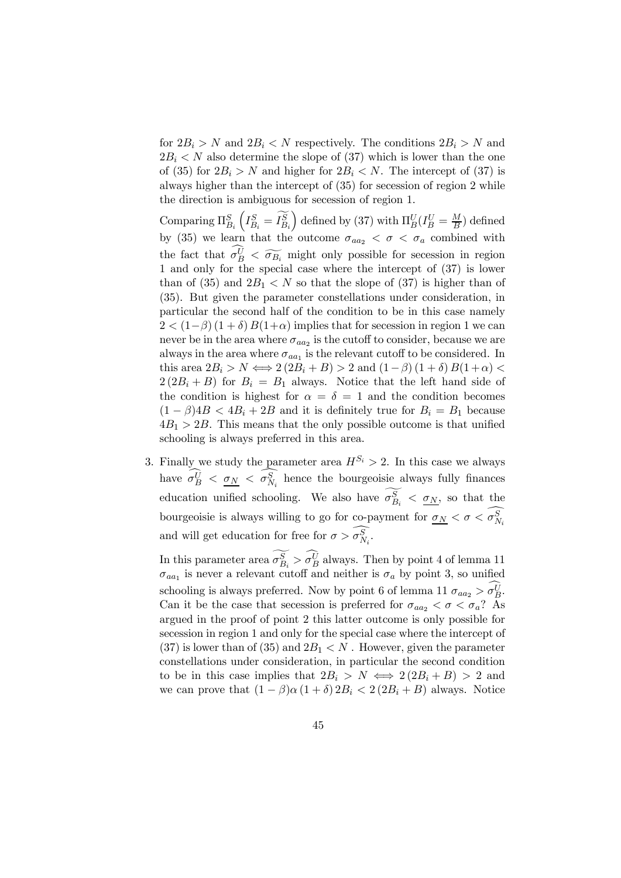for  $2B_i > N$  and  $2B_i < N$  respectively. The conditions  $2B_i > N$  and  $2B_i < N$  also determine the slope of (37) which is lower than the one of (35) for  $2B_i > N$  and higher for  $2B_i < N$ . The intercept of (37) is always higher than the intercept of (35) for secession of region 2 while the direction is ambiguous for secession of region 1.

Comparing  $\Pi_{B_i}^S$  $\left(I^S_{B_i}=\widetilde{I^S_{B_i}}\right.$ ) defined by (37) with  $\Pi_B^U(I_B^U = \frac{M}{B})$  defined by (35) we learn that the outcome  $\sigma_{aa_2} < \sigma < \sigma_a$  combined with the fact that  $\sigma_B^U \leq \widetilde{\sigma_{B_i}}$  might only possible for secession in region 1 and only for the special case where the intercept of (37) is lower than of (35) and  $2B_1 < N$  so that the slope of (37) is higher than of (35). But given the parameter constellations under consideration, in particular the second half of the condition to be in this case namely  $2 < (1-\beta) (1+\delta) B(1+\alpha)$  implies that for secession in region 1 we can never be in the area where  $\sigma_{aa_2}$  is the cutoff to consider, because we are always in the area where  $\sigma_{aa_1}$  is the relevant cutoff to be considered. In this area  $2B_i > N \Longleftrightarrow 2(2B_i + B) > 2$  and  $(1 - \beta)(1 + \delta)B(1 + \alpha)$  $2(2B_i+B)$  for  $B_i = B_1$  always. Notice that the left hand side of the condition is highest for  $\alpha = \delta = 1$  and the condition becomes  $(1 - \beta)4B < 4B_i + 2B$  and it is definitely true for  $B_i = B_1$  because  $4B_1 > 2B$ . This means that the only possible outcome is that unified schooling is always preferred in this area.

3. Finally we study the parameter area  $H^{S_i} > 2$ . In this case we always have  $\sigma_B^U$  <  $\underline{\sigma_N}$  <  $\sigma_{N_i}^S$  hence the bourgeoisie always fully finances education unified schooling. We also have  $\sigma_{B_i}^S < \underline{\sigma_N}$ , so that the bourgeoisie is always willing to go for co-payment for  $\sigma_N < \sigma < \sigma_{N_i}^S$ and will get education for free for  $\sigma > \sigma_{N_i}^S$ .

In this parameter area  $\sigma_{B_i}^S > \sigma_B^U$  always. Then by point 4 of lemma 11  $\sigma_{aa_1}$  is never a relevant cutoff and neither is  $\sigma_a$  by point 3, so unified schooling is always preferred. Now by point 6 of lemma 11  $\sigma_{aa_2} > \sigma_B^U$ . Can it be the case that secession is preferred for  $\sigma_{aa_2} < \sigma < \sigma_a$ ? As argued in the proof of point 2 this latter outcome is only possible for secession in region 1 and only for the special case where the intercept of  $(37)$  is lower than of  $(35)$  and  $2B<sub>1</sub> < N$ . However, given the parameter constellations under consideration, in particular the second condition to be in this case implies that  $2B_i > N \iff 2(2B_i + B) > 2$  and we can prove that  $(1 - \beta)\alpha (1 + \delta) 2B_i < 2(2B_i + B)$  always. Notice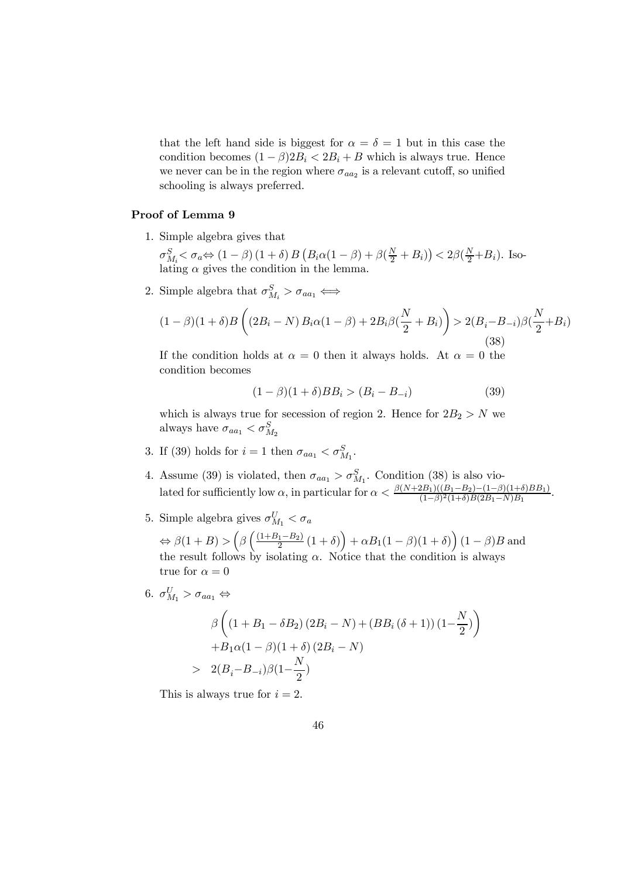that the left hand side is biggest for  $\alpha = \delta = 1$  but in this case the condition becomes  $(1 - \beta)2B_i < 2B_i + B$  which is always true. Hence we never can be in the region where  $\sigma_{aa_2}$  is a relevant cutoff, so unified schooling is always preferred.

#### Proof of Lemma 9

1. Simple algebra gives that

 $\sigma_{M_i}^S < \sigma_a \Leftrightarrow (1-\beta)(1+\delta) B (B_i \alpha (1-\beta) + \beta(\frac{N}{2} + B_i)) < 2\beta(\frac{N}{2} + B_i)$ . Isolating  $\alpha$  gives the condition in the lemma.

2. Simple algebra that  $\sigma_{M_i}^S > \sigma_{aa_1} \Longleftrightarrow$ 

$$
(1 - \beta)(1 + \delta)B\left((2B_i - N)B_i\alpha(1 - \beta) + 2B_i\beta(\frac{N}{2} + B_i)\right) > 2(B_i - B_{-i})\beta(\frac{N}{2} + B_i)
$$
\n(38)

If the condition holds at  $\alpha = 0$  then it always holds. At  $\alpha = 0$  the condition becomes

$$
(1 - \beta)(1 + \delta)BB_i > (B_i - B_{-i})
$$
\n(39)

which is always true for secession of region 2. Hence for  $2B_2 > N$  we always have  $\sigma_{aa_1} < \sigma_{M_2}^S$ 

- 3. If (39) holds for  $i = 1$  then  $\sigma_{aa_1} < \sigma_{M_1}^S$ .
- 4. Assume (39) is violated, then  $\sigma_{aa_1} > \sigma_{M_1}^S$ . Condition (38) is also violated for sufficiently low  $\alpha$ , in particular for  $\alpha < \frac{\beta(N+2B_1)((B_1-B_2)-(1-\beta)(1+\delta)BB_1)}{(1-\beta)^2(1+\delta)B(2B_1-N)B_1}$ .
- 5. Simple algebra gives  $\sigma_{M_1}^U < \sigma_a$

 $\Leftrightarrow \beta(1+B) > \left(\beta\left(\frac{(1+B_1-B_2)}{2}(1+\delta)\right) + \alpha B_1(1-\beta)(1+\delta)\right)(1-\beta)B$  and the result follows by isolating  $\alpha$ . Notice that the condition is always true for  $\alpha = 0$ 

6. 
$$
\sigma_{M_1}^U > \sigma_{aa_1} \Leftrightarrow
$$
  
\n
$$
\beta \left( (1 + B_1 - \delta B_2) (2B_i - N) + (BB_i (\delta + 1)) (1 - \frac{N}{2}) \right)
$$
\n
$$
+ B_1 \alpha (1 - \beta) (1 + \delta) (2B_i - N)
$$
\n
$$
> 2(B_i - B_{-i}) \beta (1 - \frac{N}{2})
$$

This is always true for  $i = 2$ .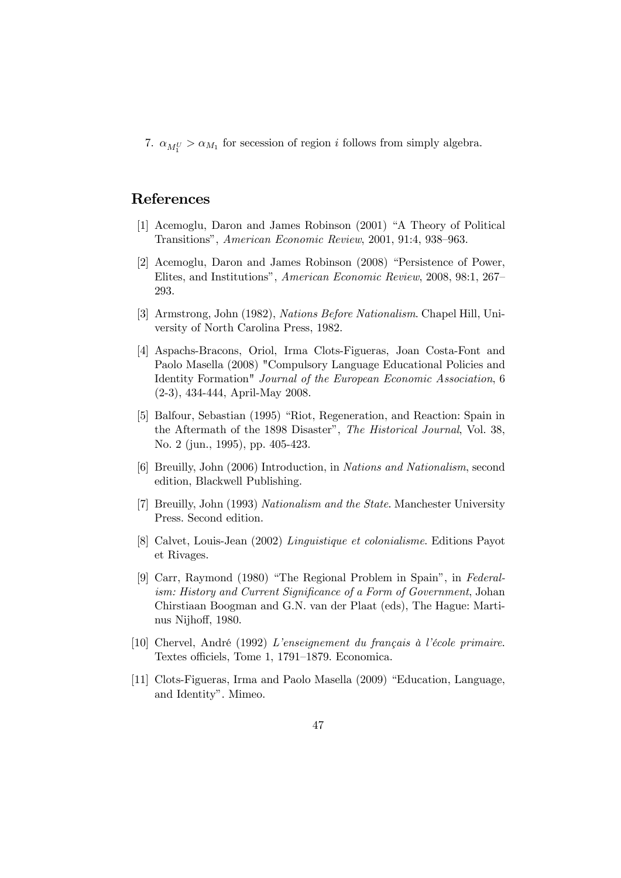7.  $\alpha_{M_1^U} > \alpha_{M_1}$  for secession of region *i* follows from simply algebra.

# References

- [1] Acemoglu, Daron and James Robinson (2001) "A Theory of Political Transitions", American Economic Review, 2001, 91:4, 938—963.
- [2] Acemoglu, Daron and James Robinson (2008) "Persistence of Power, Elites, and Institutions", American Economic Review, 2008, 98:1, 267— 293.
- [3] Armstrong, John (1982), Nations Before Nationalism. Chapel Hill, University of North Carolina Press, 1982.
- [4] Aspachs-Bracons, Oriol, Irma Clots-Figueras, Joan Costa-Font and Paolo Masella (2008) "Compulsory Language Educational Policies and Identity Formation" Journal of the European Economic Association, 6 (2-3), 434-444, April-May 2008.
- [5] Balfour, Sebastian (1995) "Riot, Regeneration, and Reaction: Spain in the Aftermath of the 1898 Disaster", The Historical Journal, Vol. 38, No. 2 (jun., 1995), pp. 405-423.
- [6] Breuilly, John (2006) Introduction, in Nations and Nationalism, second edition, Blackwell Publishing.
- [7] Breuilly, John (1993) Nationalism and the State. Manchester University Press. Second edition.
- [8] Calvet, Louis-Jean (2002) Linguistique et colonialisme. Editions Payot et Rivages.
- [9] Carr, Raymond (1980) "The Regional Problem in Spain", in Federalism: History and Current Significance of a Form of Government, Johan Chirstiaan Boogman and G.N. van der Plaat (eds), The Hague: Martinus Nijhoff, 1980.
- [10] Chervel, André (1992) L'enseignement du français à l'école primaire. Textes officiels, Tome 1, 1791—1879. Economica.
- [11] Clots-Figueras, Irma and Paolo Masella (2009) "Education, Language, and Identity". Mimeo.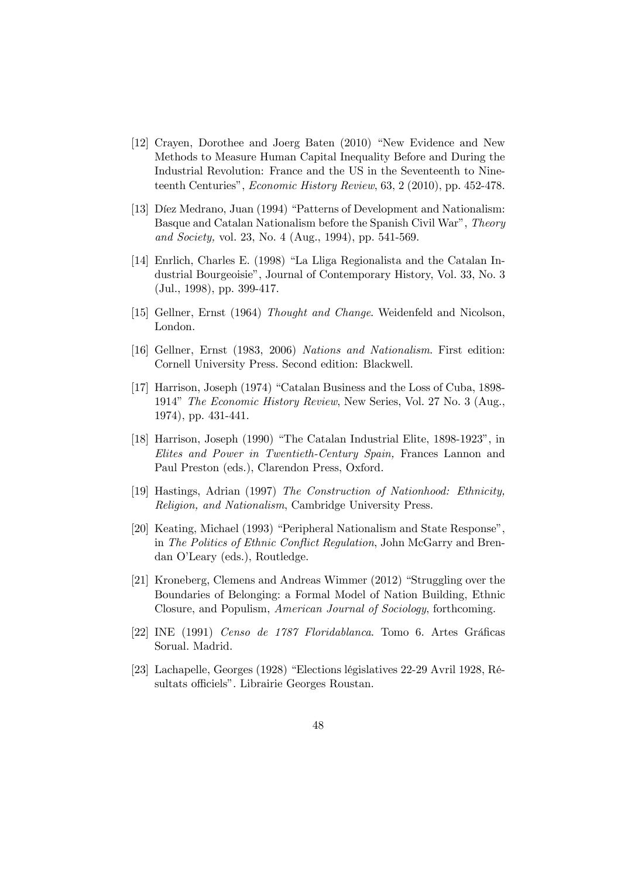- [12] Crayen, Dorothee and Joerg Baten (2010) "New Evidence and New Methods to Measure Human Capital Inequality Before and During the Industrial Revolution: France and the US in the Seventeenth to Nineteenth Centuries", *Economic History Review*, 63, 2 (2010), pp. 452-478.
- [13] Díez Medrano, Juan (1994) "Patterns of Development and Nationalism: Basque and Catalan Nationalism before the Spanish Civil War", Theory and Society, vol. 23, No. 4 (Aug., 1994), pp. 541-569.
- [14] Enrlich, Charles E. (1998) "La Lliga Regionalista and the Catalan Industrial Bourgeoisie", Journal of Contemporary History, Vol. 33, No. 3 (Jul., 1998), pp. 399-417.
- [15] Gellner, Ernst (1964) Thought and Change. Weidenfeld and Nicolson, London.
- [16] Gellner, Ernst (1983, 2006) Nations and Nationalism. First edition: Cornell University Press. Second edition: Blackwell.
- [17] Harrison, Joseph (1974) "Catalan Business and the Loss of Cuba, 1898- 1914" The Economic History Review, New Series, Vol. 27 No. 3 (Aug., 1974), pp. 431-441.
- [18] Harrison, Joseph (1990) "The Catalan Industrial Elite, 1898-1923", in Elites and Power in Twentieth-Century Spain, Frances Lannon and Paul Preston (eds.), Clarendon Press, Oxford.
- [19] Hastings, Adrian (1997) The Construction of Nationhood: Ethnicity, Religion, and Nationalism, Cambridge University Press.
- [20] Keating, Michael (1993) "Peripheral Nationalism and State Response", in The Politics of Ethnic Conflict Regulation, John McGarry and Brendan O'Leary (eds.), Routledge.
- [21] Kroneberg, Clemens and Andreas Wimmer (2012) "Struggling over the Boundaries of Belonging: a Formal Model of Nation Building, Ethnic Closure, and Populism, American Journal of Sociology, forthcoming.
- [22] INE (1991) Censo de 1787 Floridablanca. Tomo 6. Artes Gráficas Sorual. Madrid.
- [23] Lachapelle, Georges (1928) "Elections législatives 22-29 Avril 1928, Résultats officiels". Librairie Georges Roustan.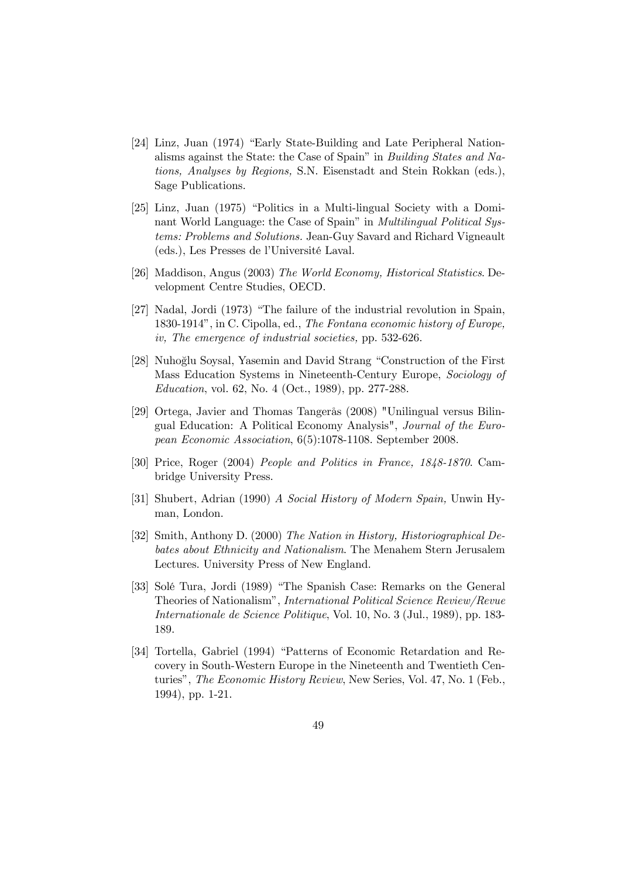- [24] Linz, Juan (1974) "Early State-Building and Late Peripheral Nationalisms against the State: the Case of Spain" in Building States and Nations, Analyses by Regions, S.N. Eisenstadt and Stein Rokkan (eds.), Sage Publications.
- [25] Linz, Juan (1975) "Politics in a Multi-lingual Society with a Dominant World Language: the Case of Spain" in *Multilingual Political Sys*tems: Problems and Solutions. Jean-Guy Savard and Richard Vigneault (eds.), Les Presses de l'Université Laval.
- [26] Maddison, Angus (2003) The World Economy, Historical Statistics. Development Centre Studies, OECD.
- [27] Nadal, Jordi (1973) "The failure of the industrial revolution in Spain, 1830-1914", in C. Cipolla, ed., The Fontana economic history of Europe, iv, The emergence of industrial societies, pp. 532-626.
- [28] Nuhoğlu Soysal, Yasemin and David Strang "Construction of the First Mass Education Systems in Nineteenth-Century Europe, Sociology of Education, vol. 62, No. 4 (Oct., 1989), pp. 277-288.
- [29] Ortega, Javier and Thomas Tangerås (2008) "Unilingual versus Bilingual Education: A Political Economy Analysis", Journal of the European Economic Association, 6(5):1078-1108. September 2008.
- [30] Price, Roger (2004) People and Politics in France, 1848-1870. Cambridge University Press.
- [31] Shubert, Adrian (1990) A Social History of Modern Spain, Unwin Hyman, London.
- [32] Smith, Anthony D. (2000) The Nation in History, Historiographical Debates about Ethnicity and Nationalism. The Menahem Stern Jerusalem Lectures. University Press of New England.
- [33] Solé Tura, Jordi (1989) "The Spanish Case: Remarks on the General Theories of Nationalism", International Political Science Review/Revue Internationale de Science Politique, Vol. 10, No. 3 (Jul., 1989), pp. 183- 189.
- [34] Tortella, Gabriel (1994) "Patterns of Economic Retardation and Recovery in South-Western Europe in the Nineteenth and Twentieth Centuries", The Economic History Review, New Series, Vol. 47, No. 1 (Feb., 1994), pp. 1-21.